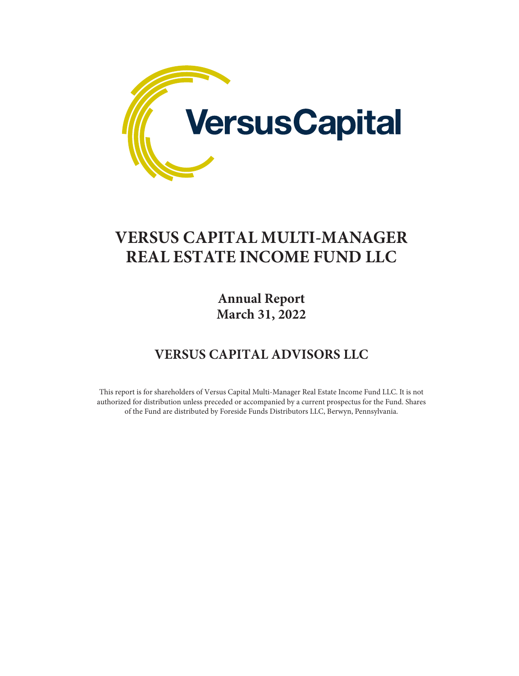

# **VERSUS CAPITAL MULTI-MANAGER REAL ESTATE INCOME FUND LLC**

**Annual Report March 31, 2022**

# **VERSUS CAPITAL ADVISORS LLC**

This report is for shareholders of Versus Capital Multi-Manager Real Estate Income Fund LLC. It is not authorized for distribution unless preceded or accompanied by a current prospectus for the Fund. Shares of the Fund are distributed by Foreside Funds Distributors LLC, Berwyn, Pennsylvania.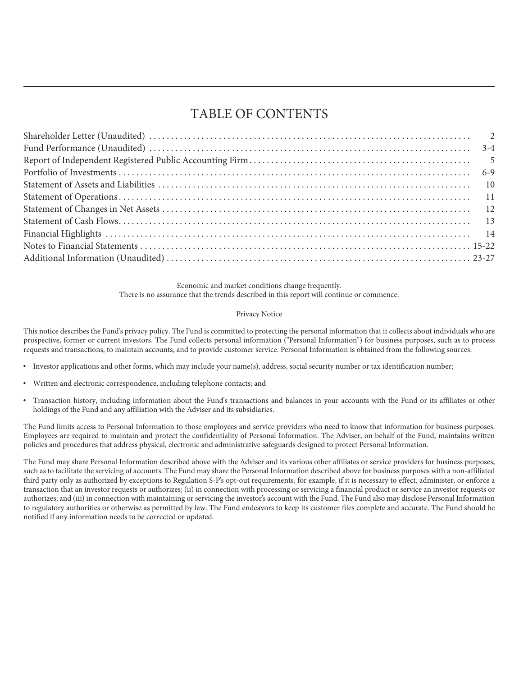# TABLE OF CONTENTS

Economic and market conditions change frequently. There is no assurance that the trends described in this report will continue or commence.

#### Privacy Notice

This notice describes the Fund's privacy policy. The Fund is committed to protecting the personal information that it collects about individuals who are prospective, former or current investors. The Fund collects personal information ("Personal Information") for business purposes, such as to process requests and transactions, to maintain accounts, and to provide customer service. Personal Information is obtained from the following sources:

- Investor applications and other forms, which may include your name(s), address, social security number or tax identification number;
- Written and electronic correspondence, including telephone contacts; and
- Transaction history, including information about the Fund's transactions and balances in your accounts with the Fund or its affiliates or other holdings of the Fund and any affiliation with the Adviser and its subsidiaries.

The Fund limits access to Personal Information to those employees and service providers who need to know that information for business purposes. Employees are required to maintain and protect the confidentiality of Personal Information. The Adviser, on behalf of the Fund, maintains written policies and procedures that address physical, electronic and administrative safeguards designed to protect Personal Information.

The Fund may share Personal Information described above with the Adviser and its various other affiliates or service providers for business purposes, such as to facilitate the servicing of accounts. The Fund may share the Personal Information described above for business purposes with a non-affiliated third party only as authorized by exceptions to Regulation S-P's opt-out requirements, for example, if it is necessary to effect, administer, or enforce a transaction that an investor requests or authorizes; (ii) in connection with processing or servicing a financial product or service an investor requests or authorizes; and (iii) in connection with maintaining or servicing the investor's account with the Fund. The Fund also may disclose Personal Information to regulatory authorities or otherwise as permitted by law. The Fund endeavors to keep its customer files complete and accurate. The Fund should be notified if any information needs to be corrected or updated.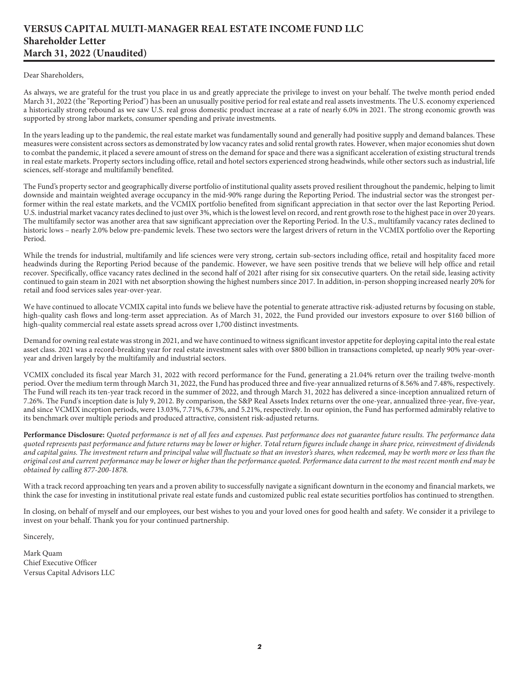# <span id="page-2-0"></span>**VERSUS CAPITAL MULTI-MANAGER REAL ESTATE INCOME FUND LLC Shareholder Letter March 31, 2022 (Unaudited)**

#### Dear Shareholders,

As always, we are grateful for the trust you place in us and greatly appreciate the privilege to invest on your behalf. The twelve month period ended March 31, 2022 (the "Reporting Period") has been an unusually positive period for real estate and real assets investments. The U.S. economy experienced a historically strong rebound as we saw U.S. real gross domestic product increase at a rate of nearly 6.0% in 2021. The strong economic growth was supported by strong labor markets, consumer spending and private investments.

In the years leading up to the pandemic, the real estate market was fundamentally sound and generally had positive supply and demand balances. These measures were consistent across sectors as demonstrated by low vacancy rates and solid rental growth rates. However, when major economies shut down to combat the pandemic, it placed a severe amount of stress on the demand for space and there was a significant acceleration of existing structural trends in real estate markets. Property sectors including office, retail and hotel sectors experienced strong headwinds, while other sectors such as industrial, life sciences, self-storage and multifamily benefited.

The Fund's property sector and geographically diverse portfolio of institutional quality assets proved resilient throughout the pandemic, helping to limit downside and maintain weighted average occupancy in the mid-90% range during the Reporting Period. The industrial sector was the strongest performer within the real estate markets, and the VCMIX portfolio benefited from significant appreciation in that sector over the last Reporting Period. U.S. industrial market vacancy rates declined to just over 3%, which is the lowest level on record, and rent growth rose to the highest pace in over 20 years. The multifamily sector was another area that saw significant appreciation over the Reporting Period. In the U.S., multifamily vacancy rates declined to historic lows – nearly 2.0% below pre-pandemic levels. These two sectors were the largest drivers of return in the VCMIX portfolio over the Reporting Period.

While the trends for industrial, multifamily and life sciences were very strong, certain sub-sectors including office, retail and hospitality faced more headwinds during the Reporting Period because of the pandemic. However, we have seen positive trends that we believe will help office and retail recover. Specifically, office vacancy rates declined in the second half of 2021 after rising for six consecutive quarters. On the retail side, leasing activity continued to gain steam in 2021 with net absorption showing the highest numbers since 2017. In addition, in-person shopping increased nearly 20% for retail and food services sales year-over-year.

We have continued to allocate VCMIX capital into funds we believe have the potential to generate attractive risk-adjusted returns by focusing on stable, high-quality cash flows and long-term asset appreciation. As of March 31, 2022, the Fund provided our investors exposure to over \$160 billion of high-quality commercial real estate assets spread across over 1,700 distinct investments.

Demand for owning real estate was strong in 2021, and we have continued to witness significant investor appetite for deploying capital into the real estate asset class. 2021 was a record-breaking year for real estate investment sales with over \$800 billion in transactions completed, up nearly 90% year-overyear and driven largely by the multifamily and industrial sectors.

VCMIX concluded its fiscal year March 31, 2022 with record performance for the Fund, generating a 21.04% return over the trailing twelve-month period. Over the medium term through March 31, 2022, the Fund has produced three and five-year annualized returns of 8.56% and 7.48%, respectively. The Fund will reach its ten-year track record in the summer of 2022, and through March 31, 2022 has delivered a since-inception annualized return of 7.26%. The Fund's inception date is July 9, 2012. By comparison, the S&P Real Assets Index returns over the one-year, annualized three-year, five-year, and since VCMIX inception periods, were 13.03%, 7.71%, 6.73%, and 5.21%, respectively. In our opinion, the Fund has performed admirably relative to its benchmark over multiple periods and produced attractive, consistent risk-adjusted returns.

**Performance Disclosure:** *Quoted performance is net of all fees and expenses. Past performance does not guarantee future results. The performance data quoted represents past performance and future returns may be lower or higher. Total return figures include change in share price, reinvestment of dividends and capital gains. The investment return and principal value will fluctuate so that an investor's shares, when redeemed, may be worth more or less than the original cost and current performance may be lower or higher than the performance quoted. Performance data current to the most recent month end may be obtained by calling 877-200-1878.*

With a track record approaching ten years and a proven ability to successfully navigate a significant downturn in the economy and financial markets, we think the case for investing in institutional private real estate funds and customized public real estate securities portfolios has continued to strengthen.

In closing, on behalf of myself and our employees, our best wishes to you and your loved ones for good health and safety. We consider it a privilege to invest on your behalf. Thank you for your continued partnership.

Sincerely,

Mark Quam Chief Executive Officer Versus Capital Advisors LLC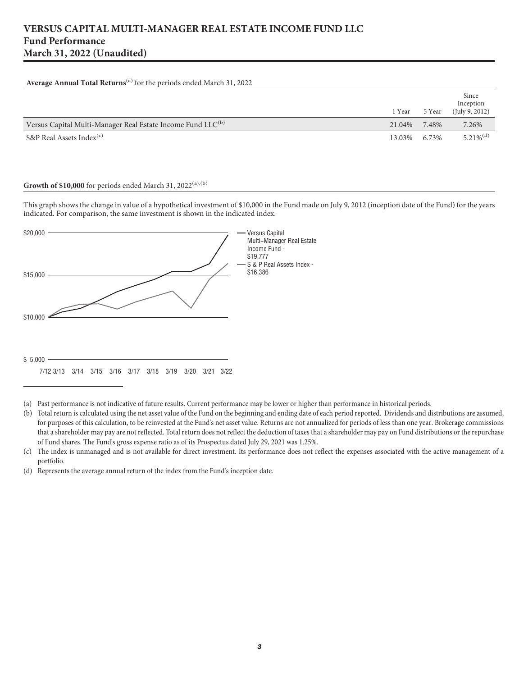# <span id="page-3-0"></span>**VERSUS CAPITAL MULTI-MANAGER REAL ESTATE INCOME FUND LLC Fund Performance March 31, 2022 (Unaudited)**

## **Average Annual Total Returns**(a) for the periods ended March 31, 2022

|                                                                         |              |        | Since<br>Inception      |
|-------------------------------------------------------------------------|--------------|--------|-------------------------|
|                                                                         | 1 Year       | 5 Year | $($ July 9, 2012)       |
| Versus Capital Multi-Manager Real Estate Income Fund LLC <sup>(b)</sup> | 21.04% 7.48% |        | 7.26%                   |
| S&P Real Assets Index <sup>(c)</sup>                                    | 13.03% 6.73% |        | $5.21\%$ <sup>(d)</sup> |

#### **Growth of \$10,000** for periods ended March 31, 2022 $(a)$ ,  $(b)$

This graph shows the change in value of a hypothetical investment of \$10,000 in the Fund made on July 9, 2012 (inception date of the Fund) for the years indicated. For comparison, the same investment is shown in the indicated index.



<sup>(</sup>a) Past performance is not indicative of future results. Current performance may be lower or higher than performance in historical periods.

<sup>(</sup>b) Total return is calculated using the net asset value of the Fund on the beginning and ending date of each period reported. Dividends and distributions are assumed, for purposes of this calculation, to be reinvested at the Fund's net asset value. Returns are not annualized for periods of less than one year. Brokerage commissions that a shareholder may pay are not reflected. Total return does not reflect the deduction of taxes that a shareholder may pay on Fund distributions or the repurchase of Fund shares. The Fund's gross expense ratio as of its Prospectus dated July 29, 2021 was 1.25%.

<sup>(</sup>c) The index is unmanaged and is not available for direct investment. Its performance does not reflect the expenses associated with the active management of a portfolio.

<sup>(</sup>d) Represents the average annual return of the index from the Fund's inception date.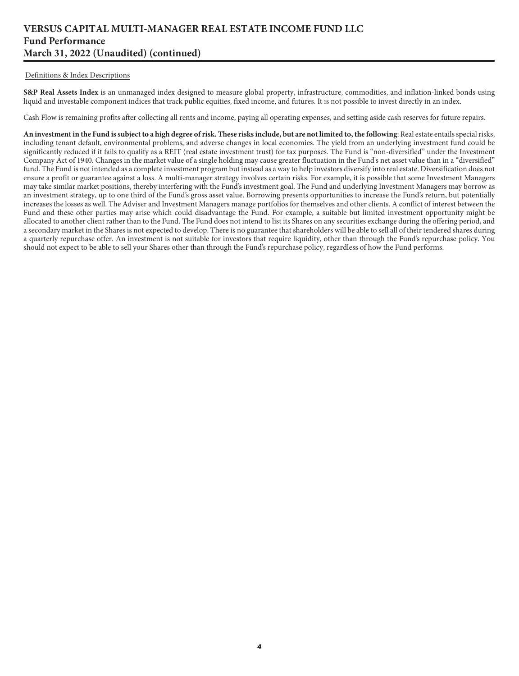# **VERSUS CAPITAL MULTI-MANAGER REAL ESTATE INCOME FUND LLC Fund Performance March 31, 2022 (Unaudited) (continued)**

#### Definitions & Index Descriptions

S&P Real Assets Index is an unmanaged index designed to measure global property, infrastructure, commodities, and inflation-linked bonds using liquid and investable component indices that track public equities, fixed income, and futures. It is not possible to invest directly in an index.

Cash Flow is remaining profits after collecting all rents and income, paying all operating expenses, and setting aside cash reserves for future repairs.

**An investment in the Fund is subject to a high degree of risk. These risks include, but are not limited to, the following**: Real estate entails special risks, including tenant default, environmental problems, and adverse changes in local economies. The yield from an underlying investment fund could be significantly reduced if it fails to qualify as a REIT (real estate investment trust) for tax purposes. The Fund is "non-diversified" under the Investment Company Act of 1940. Changes in the market value of a single holding may cause greater fluctuation in the Fund's net asset value than in a "diversified" fund. The Fund is not intended as a complete investment program but instead as a way to help investors diversify into real estate. Diversification does not ensure a profit or guarantee against a loss. A multi-manager strategy involves certain risks. For example, it is possible that some Investment Managers may take similar market positions, thereby interfering with the Fund's investment goal. The Fund and underlying Investment Managers may borrow as an investment strategy, up to one third of the Fund's gross asset value. Borrowing presents opportunities to increase the Fund's return, but potentially increases the losses as well. The Adviser and Investment Managers manage portfolios for themselves and other clients. A conflict of interest between the Fund and these other parties may arise which could disadvantage the Fund. For example, a suitable but limited investment opportunity might be allocated to another client rather than to the Fund. The Fund does not intend to list its Shares on any securities exchange during the offering period, and a secondary market in the Shares is not expected to develop. There is no guarantee that shareholders will be able to sell all of their tendered shares during a quarterly repurchase offer. An investment is not suitable for investors that require liquidity, other than through the Fund's repurchase policy. You should not expect to be able to sell your Shares other than through the Fund's repurchase policy, regardless of how the Fund performs.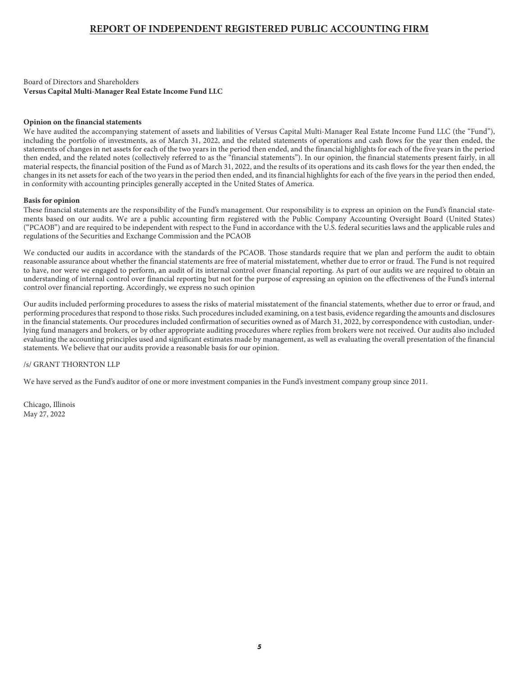# **REPORT OF INDEPENDENT REGISTERED PUBLIC ACCOUNTING FIRM**

<span id="page-5-0"></span>Board of Directors and Shareholders **Versus Capital Multi-Manager Real Estate Income Fund LLC**

#### **Opinion on the financial statements**

We have audited the accompanying statement of assets and liabilities of Versus Capital Multi-Manager Real Estate Income Fund LLC (the "Fund"), including the portfolio of investments, as of March 31, 2022, and the related statements of operations and cash flows for the year then ended, the statements of changes in net assets for each of the two years in the period then ended, and the financial highlights for each of the five years in the period then ended, and the related notes (collectively referred to as the "financial statements"). In our opinion, the financial statements present fairly, in all material respects, the financial position of the Fund as of March 31, 2022, and the results of its operations and its cash flows for the year then ended, the changes in its net assets for each of the two years in the period then ended, and its financial highlights for each of the five years in the period then ended, in conformity with accounting principles generally accepted in the United States of America.

#### **Basis for opinion**

These financial statements are the responsibility of the Fund's management. Our responsibility is to express an opinion on the Fund's financial statements based on our audits. We are a public accounting firm registered with the Public Company Accounting Oversight Board (United States) ("PCAOB") and are required to be independent with respect to the Fund in accordance with the U.S. federal securities laws and the applicable rules and regulations of the Securities and Exchange Commission and the PCAOB

We conducted our audits in accordance with the standards of the PCAOB. Those standards require that we plan and perform the audit to obtain reasonable assurance about whether the financial statements are free of material misstatement, whether due to error or fraud. The Fund is not required to have, nor were we engaged to perform, an audit of its internal control over financial reporting. As part of our audits we are required to obtain an understanding of internal control over financial reporting but not for the purpose of expressing an opinion on the effectiveness of the Fund's internal control over financial reporting. Accordingly, we express no such opinion

Our audits included performing procedures to assess the risks of material misstatement of the financial statements, whether due to error or fraud, and performing procedures that respond to those risks. Such procedures included examining, on a test basis, evidence regarding the amounts and disclosures in the financial statements. Our procedures included confirmation of securities owned as of March 31, 2022, by correspondence with custodian, underlying fund managers and brokers, or by other appropriate auditing procedures where replies from brokers were not received. Our audits also included evaluating the accounting principles used and significant estimates made by management, as well as evaluating the overall presentation of the financial statements. We believe that our audits provide a reasonable basis for our opinion.

#### /s/ GRANT THORNTON LLP

We have served as the Fund's auditor of one or more investment companies in the Fund's investment company group since 2011.

Chicago, Illinois May 27, 2022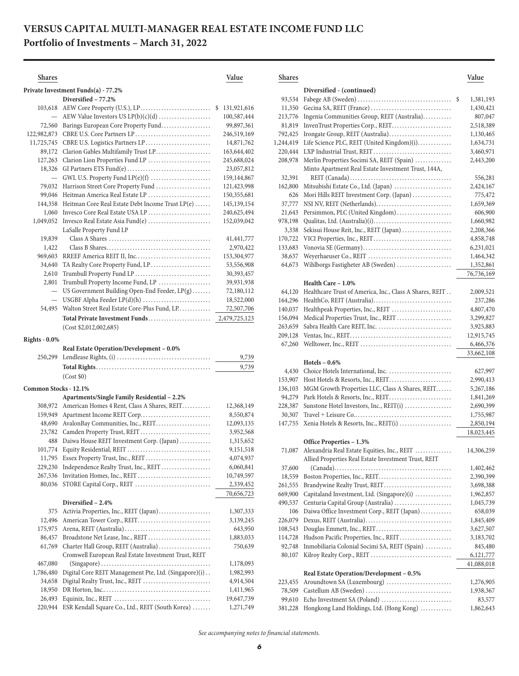# <span id="page-6-0"></span>**VERSUS CAPITAL MULTI-MANAGER REAL ESTATE INCOME FUND LLC**

# **Portfolio of Investments – March 31, 2022**

| Shares                   |                                                       | Value                   |
|--------------------------|-------------------------------------------------------|-------------------------|
|                          | Private Investment Funds(a) - 77.2%                   |                         |
|                          | Diversified - 77.2%                                   |                         |
| 103,618                  |                                                       | 131,921,616<br>\$       |
|                          | AEW Value Investors US LP(b)(c)(d)                    | 100,587,444             |
| 72,560                   | Barings European Core Property Fund                   | 99,897,361              |
| 122,982,873              | CBRE U.S. Core Partners LP                            | 246,519,169             |
| 11,725,745               | CBRE U.S. Logistics Partners LP                       | 14,871,762              |
| 89,172                   | Clarion Gables Multifamily Trust LP                   | 163,644,402             |
| 127,263                  | Clarion Lion Properties Fund LP                       | 245,688,024             |
| 18,326                   |                                                       | 23,057,812              |
| $\overline{\phantom{0}}$ | GWL U.S. Property Fund LP(e)(f)                       | 159,144,867             |
| 79,032                   | Harrison Street Core Property Fund                    | 121,423,998             |
| 99,046                   | Heitman America Real Estate LP                        | 150,355,681             |
| 144,358                  | Heitman Core Real Estate Debt Income Trust LP(e)      | 145,139,154             |
| 1,060                    | Invesco Core Real Estate USA LP                       | 240,625,494             |
| 1,049,052                | Invesco Real Estate Asia Fund(e)                      | 152,039,042             |
| 19,839                   | LaSalle Property Fund LP                              |                         |
| 1,422                    |                                                       | 41,441,777<br>2,970,422 |
| 969,603                  | RREEF America REIT II, Inc                            | 153,304,977             |
| 34,640                   | TA Realty Core Property Fund, LP                      | 53,556,908              |
| 2,610                    | Trumbull Property Fund LP                             | 30,393,457              |
| 2,801                    | Trumbull Property Income Fund, LP                     | 39,931,938              |
| $\overline{\phantom{0}}$ | US Government Building Open-End Feeder, LP(g)         | 72,180,112              |
| $\overline{\phantom{0}}$ | USGBF Alpha Feeder LP(d)(h)                           | 18,522,000              |
| 54,495                   | Walton Street Real Estate Core-Plus Fund, LP          | 72,507,706              |
|                          | Total Private Investment Funds                        | 2,479,725,123           |
|                          | (Cost \$2,012,002,685)                                |                         |
|                          |                                                       |                         |
| Rights - $0.0\%$         |                                                       |                         |
|                          | Real Estate Operation/Development - 0.0%              |                         |
| 250,299                  |                                                       | 9,739                   |
|                          |                                                       | 9,739                   |
|                          | (Cost \$0)                                            |                         |
| Common Stocks - 12.1%    |                                                       |                         |
|                          | <b>Apartments/Single Family Residential - 2.2%</b>    |                         |
| 308,972                  | American Homes 4 Rent, Class A Shares, REIT           | 12,368,149              |
| 159,949                  | Apartment Income REIT Corp                            | 8,550,874               |
| 48,690                   | AvalonBay Communities, Inc., REIT                     | 12,093,135              |
| 23,782                   | Camden Property Trust, REIT                           | 3,952,568               |
| 488                      | Daiwa House REIT Investment Corp. (Japan)             | 1,315,652               |
| 101,774                  | Equity Residential, REIT                              | 9,151,518               |
| 11,795                   | Essex Property Trust, Inc., REIT                      | 4,074,937               |
| 229,230                  | Independence Realty Trust, Inc., REIT                 | 6,060,841               |
| 267,536                  |                                                       | 10,749,597              |
| 80,036                   | STORE Capital Corp., REIT                             | 2,339,452               |
|                          |                                                       | 70,656,723              |
|                          | Diversified - 2.4%                                    |                         |
| 375                      | Activia Properties, Inc., REIT (Japan)                | 1,307,333               |
| 12,496                   |                                                       | 3,139,245               |
| 175,975<br>86,457        | Broadstone Net Lease, Inc., REIT                      | 643,950                 |
| 61,769                   | Charter Hall Group, REIT (Australia)                  | 1,883,033<br>750,639    |
|                          |                                                       |                         |
| 467,080                  | Cromwell European Real Estate Investment Trust, REIT  | 1,178,093               |
| 1,786,480                | Digital Core REIT Management Pte, Ltd. (Singapore)(i) | 1,982,993               |
| 34,658                   | Digital Realty Trust, Inc., REIT                      | 4,914,504               |
| 18,950                   |                                                       | 1,411,965               |
| 26,493                   |                                                       | 19,647,739              |
|                          |                                                       |                         |

| <b>Shares</b> |                                                         | Value           |
|---------------|---------------------------------------------------------|-----------------|
|               | Diversified - (continued)                               |                 |
| 93,534        |                                                         | \$<br>1,381,193 |
| 11,350        |                                                         | 1,430,421       |
| 213,776       | Ingenia Communities Group, REIT (Australia)             | 807,047         |
| 81,819        | InvenTrust Properties Corp., REIT                       | 2,518,389       |
| 792,425       | Irongate Group, REIT (Australia)                        | 1,130,465       |
| 1,244,419     | Life Science PLC, REIT (United Kingdom)(i)              | 1,634,731       |
| 220,444       | LXP Industrial Trust, REIT                              | 3,460,971       |
| 208,978       | Merlin Properties Socimi SA, REIT (Spain)               | 2,443,200       |
| 32,391        | Minto Apartment Real Estate Investment Trust, 144A,     | 556,281         |
| 162,800       | Mitsubishi Estate Co., Ltd. (Japan)                     | 2,424,167       |
| 626           | Mori Hills REIT Investment Corp. (Japan)                | 775,472         |
| 37,777        | NSI NV, REIT (Netherlands)                              | 1,659,369       |
| 21,643        | Persimmon, PLC (United Kingdom)                         | 606,900         |
| 978,198       | Qualitas, Ltd. (Australia)(i)                           | 1,660,982       |
| 3,338         | Sekisui House Reit, Inc., REIT (Japan)                  | 2,208,366       |
| 170,722       | VICI Properties, Inc., REIT                             | 4,858,748       |
| 133,683       |                                                         | 6,231,021       |
| 38,637        | Weyerhaeuser Co., REIT                                  | 1,464,342       |
| 64,673        | Wihlborgs Fastigheter AB (Sweden)                       | 1,352,861       |
|               |                                                         | 76,736,169      |
|               | Health Care - 1.0%                                      |                 |
| 64,120        | Healthcare Trust of America, Inc., Class A Shares, REIT | 2,009,521       |
| 164,296       | HealthCo, REIT (Australia)                              | 237,286         |
| 140,037       | Healthpeak Properties, Inc., REIT                       | 4,807,470       |
| 156,094       | Medical Properties Trust, Inc., REIT                    | 3,299,827       |
| 263,659       | Sabra Health Care REIT, Inc.                            | 3,925,883       |
| 209,128       |                                                         | 12,915,745      |
| 67,260        |                                                         | 6,466,376       |
|               |                                                         | 33,662,108      |
|               | Hotels $-0.6\%$                                         |                 |
| 4,430         | Choice Hotels International, Inc.                       | 627,997         |
| 153,907       | Host Hotels & Resorts, Inc., REIT.                      | 2,990,413       |
| 136,103       | MGM Growth Properties LLC, Class A Shares, REIT         | 5,267,186       |
| 94,279        | Park Hotels & Resorts, Inc., REIT                       | 1,841,269       |
| 228,387       | Sunstone Hotel Investors, Inc., REIT(i)                 | 2,690,399       |
| 30,307        |                                                         | 1,755,987       |
| 147,755       | Xenia Hotels & Resorts, Inc., REIT(i)                   | 2,850,194       |
|               |                                                         | 18,023,445      |
|               | Office Properties - 1.3%                                |                 |
| 71,087        | Alexandria Real Estate Equities, Inc., REIT             | 14,306,259      |
|               | Allied Properties Real Estate Investment Trust. REIT    |                 |
| 37,600        |                                                         | 1,402,462       |
| 18,559        | Boston Properties, Inc., REIT                           | 2,390,399       |
| 261,555       | Brandywine Realty Trust, REIT                           | 3,698,388       |
| 669,900       | Capitaland Investment, Ltd. (Singapore)(i)              | 1,962,857       |
| 490,537       | Centuria Capital Group (Australia)                      | 1,045,739       |
| 106           | Daiwa Office Investment Corp., REIT (Japan)             | 658,039         |
| 226,079       |                                                         | 1,845,409       |
| 108,543       | Douglas Emmett, Inc., REIT                              | 3,627,507       |
| 114,728       | Hudson Pacific Properties, Inc., REIT                   | 3,183,702       |
| 92,748        | Inmobiliaria Colonial Socimi SA, REIT (Spain)           | 845,480         |
| 80,107        | Kilroy Realty Corp., REIT                               | 6, 121, 777     |
|               |                                                         | 41,088,018      |
|               | Real Estate Operation/Development - 0.5%                |                 |
| 223,455       | Aroundtown SA (Luxembourg)                              | 1,276,905       |
| 78,509        |                                                         | 1,938,367       |

99,610 Echo Investment SA (Poland) ........................... 83,577 381,228 Hongkong Land Holdings, Ltd. (Hong Kong) ............ 1,862,643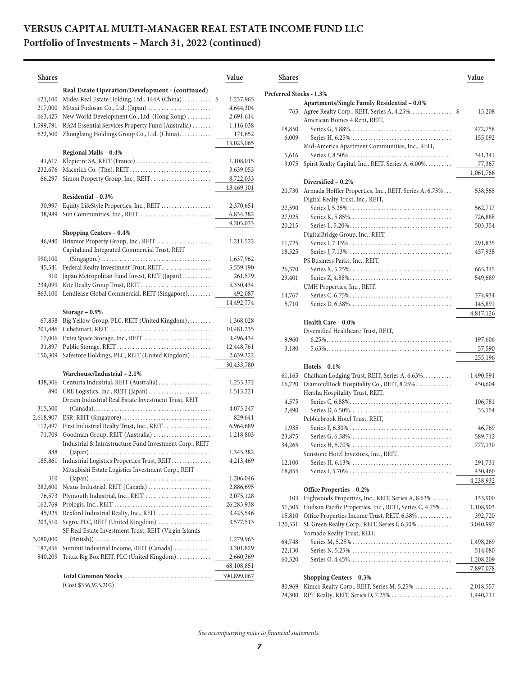# **VERSUS CAPITAL MULTI-MANAGER REAL ESTATE INCOME FUND LLC Portfolio of Investments – March 31, 2022 (continued)**

| Shares            |                                                         | Value                  |
|-------------------|---------------------------------------------------------|------------------------|
|                   | Real Estate Operation/Development - (continued)         |                        |
| 621,100           | Midea Real Estate Holding, Ltd., 144A (China)           | 1,237,965<br>\$        |
| 217,000           | Mitsui Fudosan Co., Ltd. (Japan)                        | 4,644,304              |
| 663,425           | New World Development Co., Ltd. (Hong Kong)             | 2,691,614              |
| 1,599,791         | RAM Essential Services Property Fund (Australia)        | 1,116,038              |
| 622,500           | Zhongliang Holdings Group Co., Ltd. (China)             | 171,652                |
|                   |                                                         | 15,023,065             |
|                   | Regional Malls - 0.4%                                   |                        |
| 41,617            | Klepierre SA, REIT (France)                             | 1,108,015              |
| 232,676           | Macerich Co. (The), REIT                                | 3,639,053              |
| 66,297            | Simon Property Group, Inc., REIT                        | 8,722,033              |
|                   |                                                         | 13,469,101             |
|                   | Residential - 0.3%                                      |                        |
| 30,997            | Equity LifeStyle Properties, Inc., REIT                 | 2,370,651              |
| 38,989            | Sun Communities, Inc., REIT                             | 6,834,382              |
|                   |                                                         | 9,205,033              |
|                   | Shopping Centers - 0.4%                                 |                        |
| 46,940            | Brixmor Property Group, Inc., REIT                      | 1,211,522              |
|                   | CapitaLand Integrated Commercial Trust, REIT            |                        |
| 990,100           |                                                         | 1,637,962              |
| 45,541            | Federal Realty Investment Trust, REIT                   | 5,559,190              |
| 310               | Japan Metropolitan Fund Invest, REIT (Japan)            | 261,579                |
| 234,099           | Kite Realty Group Trust, REIT                           | 5,330,434              |
| 863,100           | Lendlease Global Commercial, REIT (Singapore)           | 492,087                |
|                   |                                                         | 14,492,774             |
|                   | Storage $-0.9\%$                                        |                        |
| 67,858            | Big Yellow Group, PLC, REIT (United Kingdom)            | 1,368,028              |
| 201,446           |                                                         | 10,481,235             |
| 17,006            | Extra Space Storage, Inc., REIT                         | 3,496,434              |
| 31,897            |                                                         | 12,448,761             |
| 150,309           | Safestore Holdings, PLC, REIT (United Kingdom)          | 2,639,322              |
|                   |                                                         | 30,433,780             |
|                   | Warehouse/Industrial - 2.1%                             |                        |
| 438,306           | Centuria Industrial, REIT (Australia)                   | 1,253,372              |
| 890               | CRE Logistics, Inc., REIT (Japan)                       | 1,513,221              |
|                   | Dream Industrial Real Estate Investment Trust, REIT     |                        |
| 315,500           |                                                         | 4,073,247              |
| 2,618,907         | First Industrial Realty Trust, Inc., REIT               | 829,641                |
| 112,497<br>71,709 | Goodman Group, REIT (Australia)                         | 6,964,689<br>1,218,803 |
|                   | Industrial & Infrastructure Fund Investment Corp., REIT |                        |
| 888               |                                                         | 1,345,382              |
| 185,861           | Industrial Logistics Properties Trust, REIT             | 4,213,469              |
|                   | Mitsubishi Estate Logistics Investment Corp., REIT      |                        |
| 310               |                                                         | 1,206,046              |
| 282,600           | Nexus Industrial, REIT (Canada)                         | 2,886,695              |
| 76,573            | Plymouth Industrial, Inc., REIT                         | 2,075,128              |
| 162,769           |                                                         | 26,283,938             |
| 45,925            | Rexford Industrial Realty, Inc., REIT                   | 3,425,546              |
| 203,510           | Segro, PLC, REIT (United Kingdom)                       | 3,577,513              |
|                   | SF Real Estate Investment Trust, REIT (Virgin Islands   |                        |
| 3,080,000         |                                                         | 1,279,963              |
| 187,456           | Summit Industrial Income, REIT (Canada)                 | 3,301,829              |
| 840,209           | Tritax Big Box REIT, PLC (United Kingdom)               | 2,660,369              |
|                   |                                                         | 68,108,851             |
|                   |                                                         | 390,899,067            |
|                   | (Cost \$356,925,202)                                    |                        |

| <b>Shares</b>           |                                                                                             | Value                |
|-------------------------|---------------------------------------------------------------------------------------------|----------------------|
| Preferred Stocks - 1.3% |                                                                                             |                      |
|                         | Apartments/Single Family Residential - 0.0%                                                 |                      |
| 765                     | American Homes 4 Rent, REIT,                                                                | 15,208               |
| 18,850                  |                                                                                             | 472,758              |
| 6,009                   |                                                                                             | 155,092              |
|                         | Mid-America Apartment Communities, Inc., REIT,                                              |                      |
| 5,616                   |                                                                                             | 341,341              |
| 3,075                   | Spirit Realty Capital, Inc., REIT, Series A, 6.00%                                          | 77,367               |
|                         |                                                                                             | 1,061,766            |
|                         | Diversified - 0.2%                                                                          |                      |
| 20,730                  | Armada Hoffler Properties, Inc., REIT, Series A, 6.75%<br>Digital Realty Trust, Inc., REIT, | 538,565              |
| 22,590                  |                                                                                             | 562,717              |
| 27,925                  |                                                                                             | 726,888              |
| 20,215                  | DigitalBridge Group, Inc., REIT,                                                            | 503,354              |
| 11,725                  |                                                                                             | 291,835              |
| 18,525                  | PS Business Parks, Inc., REIT,                                                              | 457,938              |
| 26,370                  |                                                                                             | 665,315              |
| 23,401                  |                                                                                             | 549,689              |
|                         | UMH Properties, Inc., REIT,                                                                 |                      |
| 14,767                  |                                                                                             | 374,934              |
| 5,710                   |                                                                                             | 145,891              |
|                         | Health Care - 0.0%                                                                          | 4,817,126            |
|                         | Diversified Healthcare Trust, REIT,                                                         |                      |
| 9,960                   |                                                                                             | 197,606              |
| 3,180                   |                                                                                             | 57,590               |
|                         |                                                                                             | 255,196              |
|                         | Hotels $-0.1%$                                                                              |                      |
| 61,165                  | Chatham Lodging Trust, REIT, Series A, 6.63%                                                | 1,490,591            |
| 16,720                  | DiamondRock Hospitality Co., REIT, 8.25%                                                    | 450,604              |
|                         | Hersha Hospitality Trust, REIT,                                                             |                      |
| 4,575                   |                                                                                             | 106,781              |
| 2,490                   |                                                                                             | 55,154               |
|                         | Pebblebrook Hotel Trust, REIT,                                                              |                      |
| 1,935                   |                                                                                             | 46,769               |
| 23,875                  |                                                                                             | 589,712              |
| 34,265                  |                                                                                             | 777,130              |
|                         | Sunstone Hotel Investors, Inc., REIT,                                                       |                      |
| 12,100                  |                                                                                             | 291,731              |
| 18,855                  |                                                                                             | 430,460              |
|                         |                                                                                             | 4,238,932            |
|                         | Office Properties - 0.2%<br>Highwoods Properties, Inc., REIT, Series A, 8.63%               |                      |
| 103<br>51,505           | Hudson Pacific Properties, Inc., REIT, Series C, 4.75%                                      | 133,900              |
| 15,810                  | Office Properties Income Trust, REIT, 6.38%                                                 | 1,108,903<br>392,720 |
| 120,531                 | SL Green Realty Corp., REIT, Series I, 6.50%                                                | 3,040,997            |
|                         | Vornado Realty Trust, REIT,                                                                 |                      |
| 64,748                  |                                                                                             | 1,498,269            |
| 22,130                  |                                                                                             | 514,080              |
| 60,320                  |                                                                                             | 1,208,209            |
|                         |                                                                                             | 7,897,078            |

# **Shopping Centers – 0.3%**<br>80.969 Kimco Realty Corp. REIT Se

| $\sigma$ on $\sigma$ puncts $\sigma$ or $\sigma$ $\sigma$ |           |
|-----------------------------------------------------------|-----------|
| 80,969 Kimco Realty Corp., REIT, Series M, 5.25%          | 2,018,557 |
| 24,300 RPT Realty, REIT, Series D, 7.25%                  | 1,440,711 |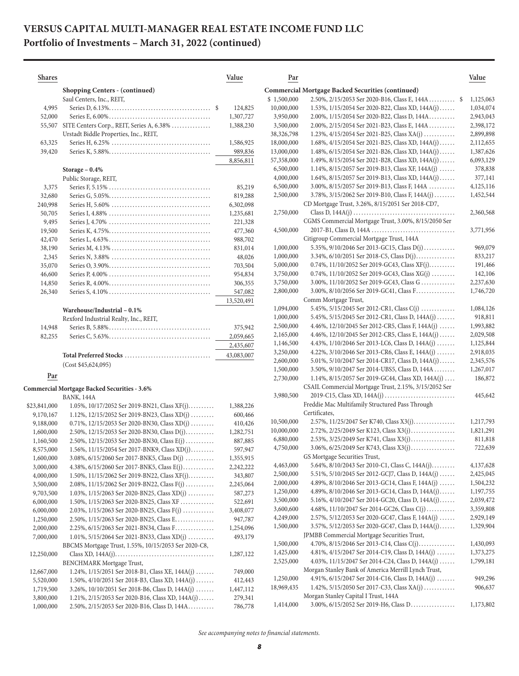# **VERSUS CAPITAL MULTI-MANAGER REAL ESTATE INCOME FUND LLC Portfolio of Investments – March 31, 2022 (continued)**

| <b>Shares</b> |                                                      | Value      | Par         |                                                       | Value     |
|---------------|------------------------------------------------------|------------|-------------|-------------------------------------------------------|-----------|
|               | <b>Shopping Centers - (continued)</b>                |            |             | Commercial Mortgage Backed Securities (continued)     |           |
|               | Saul Centers, Inc., REIT,                            |            | \$1,500,000 |                                                       | 1,125,063 |
| 4,995         |                                                      | 124,825    | 10,000,000  | 1.53%, $1/15/2054$ Ser 2020-B22, Class XD, $144A(i)$  | 1,034,074 |
| 52,000        |                                                      | 1,307,727  | 3,950,000   | 2.00%, $1/15/2054$ Ser 2020-B22, Class D, 144A        | 2,943,043 |
|               | 55,507 SITE Centers Corp., REIT, Series A, 6.38%     | 1,388,230  | 3,500,000   | 2.00%, $2/15/2054$ Ser 2021-B23, Class E, 144A        | 2,398,172 |
|               | Urstadt Biddle Properties, Inc., REIT,               |            | 38,326,798  | 1.23%, $4/15/2054$ Ser 2021-B25, Class XA(j)          | 2,899,898 |
| 63,325        |                                                      | 1,586,925  | 18,000,000  | 1.68%, $4/15/2054$ Ser 2021-B25, Class XD, $144A(i)$  | 2,112,655 |
| 39,420        |                                                      | 989,836    | 13,000,000  | 1.48%, $6/15/2054$ Ser 2021-B26, Class XD, 144A(j)    | 1,387,626 |
|               |                                                      | 8,856,811  | 57,358,000  | 1.49%, $8/15/2054$ Ser 2021-B28, Class XD, $144A(j)$  | 6,093,129 |
|               | Storage $-0.4%$                                      |            | 6,500,000   | 1.14%, $8/15/2057$ Ser 2019-B13, Class XF, 144A(j)    | 378,838   |
|               | Public Storage, REIT,                                |            | 4,000,000   | 1.64%, $8/15/2057$ Ser 2019-B13, Class XD, $144A(j)$  | 377,141   |
| 3,375         |                                                      | 85,219     | 6,500,000   | 3.00%, 8/15/2057 Ser 2019-B13, Class F, 144A          | 4,125,116 |
| 32,680        |                                                      | 819,288    | 2,500,000   | 3.78%, $3/15/2062$ Ser 2019-B10, Class F, 144A(j)     | 1,452,544 |
| 240,998       |                                                      |            |             | CD Mortgage Trust, 3.26%, 8/15/2051 Ser 2018-CD7,     |           |
|               |                                                      | 6,302,098  | 2,750,000   |                                                       | 2,360,568 |
| 50,705        |                                                      | 1,235,681  |             | CGMS Commercial Mortgage Trust, 3.00%, 8/15/2050 Ser  |           |
| 9,495         |                                                      | 221,328    | 4,500,000   |                                                       | 3,771,956 |
| 19,500        |                                                      | 477,360    |             | Citigroup Commercial Mortgage Trust, 144A             |           |
| 42,470        |                                                      | 988,702    |             |                                                       | 969,079   |
| 38,190        |                                                      | 831,014    | 1,000,000   | 5.35%, $9/10/2046$ Ser 2013-GC15, Class D(j)          |           |
| 2,345         |                                                      | 48,026     | 1,000,000   | 3.34%, $6/10/2051$ Ser 2018-C5, Class D(j)            | 833,217   |
| 35,070        |                                                      | 703,504    | 5,000,000   | $0.74\%, 11/10/2052$ Ser 2019-GC43, Class XF(j)       | 191,466   |
| 46,600        |                                                      | 954,834    | 3,750,000   | 0.74%, $11/10/2052$ Ser 2019-GC43, Class XG(j)        | 142,106   |
| 14,850        |                                                      | 306,355    | 3,750,000   | 3.00%, 11/10/2052 Ser 2019-GC43, Class G              | 2,237,630 |
| 26,340        |                                                      | 547,082    | 2,800,000   | 3.00%, 8/10/2056 Ser 2019-GC41, Class F               | 1,746,720 |
|               |                                                      | 13,520,491 |             | Comm Mortgage Trust,                                  |           |
|               | Warehouse/Industrial - 0.1%                          |            | 1,094,000   | 5.45%, 5/15/2045 Ser 2012-CR1, Class C(j)             | 1,084,126 |
|               | Rexford Industrial Realty, Inc., REIT,               |            | 1,000,000   | 5.45%, 5/15/2045 Ser 2012-CR1, Class D, 144A(j)       | 918,811   |
| 14,948        |                                                      | 375,942    | 2,500,000   | 4.46%, $12/10/2045$ Ser 2012-CR5, Class F, $144A(j)$  | 1,993,882 |
| 82,255        |                                                      | 2,059,665  | 2,165,000   | 4.46%, $12/10/2045$ Ser 2012-CR5, Class E, $144A(j)$  | 2,029,508 |
|               |                                                      | 2,435,607  | 1,146,500   | 4.43%, $1/10/2046$ Ser 2013-LC6, Class D, $144A(j)$   | 1,125,844 |
|               |                                                      | 43,083,007 | 3,250,000   | 4.22%, $3/10/2046$ Ser 2013-CR6, Class E, $144A(i)$   | 2,918,035 |
|               | (Cost \$45,624,095)                                  |            | 2,600,000   | 5.01%, 5/10/2047 Ser 2014-CR17, Class D, 144A(j)      | 2,345,576 |
|               |                                                      |            | 1,500,000   | 3.50%, 9/10/2047 Ser 2014-UBS5, Class D, 144A         | 1,267,017 |
| Par           |                                                      |            | 2,730,000   | 1.14%, $8/15/2057$ Ser 2019-GC44, Class XD, $144A(j)$ | 186,872   |
|               | Commercial Mortgage Backed Securities - 3.6%         |            |             | CSAIL Commercial Mortgage Trust, 2.15%, 3/15/2052 Ser |           |
|               | BANK, 144A                                           |            | 3,980,500   |                                                       | 445,642   |
| \$23,841,000  | 1.05%, $10/17/2052$ Ser 2019-BN21, Class XF(j)       | 1,388,226  |             | Freddie Mac Multifamily Structured Pass Through       |           |
| 9,170,167     | 1.12%, $12/15/2052$ Ser 2019-BN23, Class XD(j)       | 600,466    |             | Certificates,                                         |           |
| 9,188,000     | 0.71%, 12/15/2053 Ser 2020-BN30, Class XD(j)         | 410,426    | 10,500,000  |                                                       | 1,217,793 |
| 1,600,000     | 2.50%, $12/15/2053$ Ser 2020-BN30, Class D(j)        | 1,282,751  | 10,000,000  | 2.72%, 2/25/2049 Ser K123, Class X3(j)                | 1,821,291 |
| 1,160,500     | 2.50%, $12/15/2053$ Ser 2020-BN30, Class E(j)        | 887,885    | 6,880,000   | 2.53%, 3/25/2049 Ser K741, Class X3(j)                | 811,818   |
| 8,575,000     | 1.56%, 11/15/2054 Ser 2017-BNK9, Class $XD(i)$       | 597,947    | 4,750,000   |                                                       | 722,639   |
| 1,600,000     | 3.08%, $6/15/2060$ Ser 2017-BNK5, Class D(j)         | 1,355,915  |             | GS Mortgage Securities Trust,                         |           |
| 3,000,000     | 4.38%, $6/15/2060$ Ser 2017-BNK5, Class $E(j)$       | 2,242,222  | 4,463,000   | 5.64%, 8/10/2043 Ser 2010-C1, Class C, 144A(j)        | 4,137,628 |
| 4,000,000     | 1.50%, $11/15/2062$ Ser 2019-BN22, Class XF(j)       | 343,807    | 2,500,000   | 5.51%, 5/10/2045 Ser 2012-GCJ7, Class D, 144A(j)      | 2,425,045 |
| 3,500,000     | 2.08%, $11/15/2062$ Ser 2019-BN22, Class F(j)        | 2,245,064  | 2,000,000   | 4.89%, $8/10/2046$ Ser 2013-GC14, Class F, 144A(j)    | 1,504,232 |
| 9,703,500     | 1.03%, $1/15/2063$ Ser 2020-BN25, Class XD(j)        | 587,273    | 1,250,000   | 4.89%, $8/10/2046$ Ser 2013-GC14, Class D, $144A(i)$  | 1,197,755 |
| 6,000,000     | 1.50%, $1/15/2063$ Ser 2020-BN25, Class XF           | 522,691    | 3,500,000   | 5.16%, $4/10/2047$ Ser 2014-GC20, Class D, $144A(j)$  | 2,039,472 |
| 6,000,000     | 2.03%, $1/15/2063$ Ser 2020-BN25, Class F(j)         | 3,408,077  | 3,600,600   | 4.68%, $11/10/2047$ Ser 2014-GC26, Class C(j)         | 3,359,808 |
| 1,250,000     | 2.50%, 1/15/2063 Ser 2020-BN25, Class E              | 947,787    | 4,249,000   | 2.57%, $5/12/2053$ Ser 2020-GC47, Class F, $144A(j)$  | 2,929,149 |
| 2,000,000     | 2.25%, 6/15/2063 Ser 2021-BN34, Class F              | 1,254,096  | 1,500,000   | 3.57%, $5/12/2053$ Ser 2020-GC47, Class D, $144A(j)$  | 1,329,904 |
| 7,000,000     | 1.01%, 5/15/2064 Ser 2021-BN33, Class XD(j)          | 493,179    |             | JPMBB Commercial Mortgage Securities Trust,           |           |
|               | BBCMS Mortgage Trust, 1.55%, 10/15/2053 Ser 2020-C8, |            | 1,500,000   | 4.70%, 8/15/2046 Ser 2013-C14, Class C(j)             | 1,430,093 |
|               |                                                      |            | 1,425,000   | 4.81%, $4/15/2047$ Ser 2014-C19, Class D, 144A(j)     | 1,373,275 |
| 12,250,000    | BENCHMARK Mortgage Trust,                            | 1,287,122  | 2,525,000   | 4.03%, $11/15/2047$ Ser 2014-C24, Class D, $144A(j)$  | 1,799,181 |
|               | 1.24%, 1/15/2051 Ser 2018-B1, Class XE, 144A(j)      |            |             | Morgan Stanley Bank of America Merrill Lynch Trust,   |           |
| 12,667,000    |                                                      | 749,000    | 1,250,000   | 4.91%, $6/15/2047$ Ser 2014-C16, Class D, 144A(j)     | 949,296   |
| 5,520,000     | 1.50%, $4/10/2051$ Ser 2018-B3, Class XD, $144A(j)$  | 412,443    | 18,969,435  | 1.42%, $5/15/2050$ Ser 2017-C33, Class XA(j)          | 906,637   |
| 1,719,500     | 3.26%, 10/10/2051 Ser 2018-B6, Class D, 144A(j)      | 1,447,112  |             | Morgan Stanley Capital I Trust, 144A                  |           |
| 3,800,000     | 1.21%, 2/15/2053 Ser 2020-B16, Class XD, 144A(j)     | 279,341    | 1,414,000   | 3.00%, 6/15/2052 Ser 2019-H6, Class D                 | 1,173,802 |
| 1,000,000     | 2.50%, 2/15/2053 Ser 2020-B16, Class D, 144A         | 786,778    |             |                                                       |           |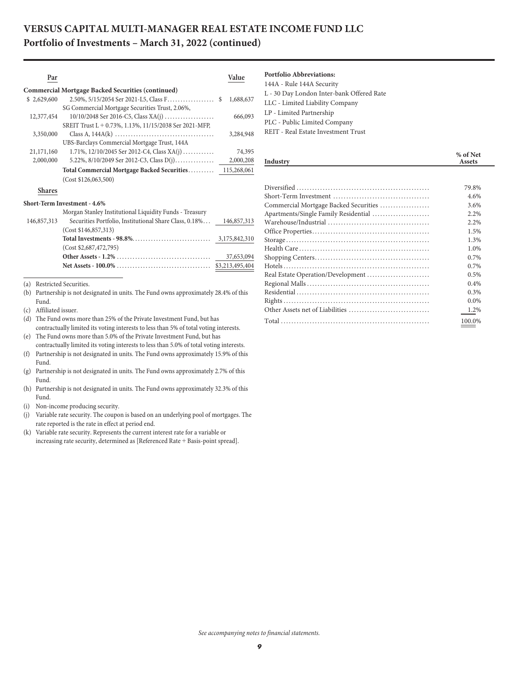# **VERSUS CAPITAL MULTI-MANAGER REAL ESTATE INCOME FUND LLC Portfolio of Investments – March 31, 2022 (continued)**

| Par         |                                                          | Value       |
|-------------|----------------------------------------------------------|-------------|
|             | <b>Commercial Mortgage Backed Securities (continued)</b> |             |
| \$2,629,600 |                                                          | 1,688,637   |
|             | SG Commercial Mortgage Securities Trust, 2.06%,          |             |
| 12,377,454  |                                                          | 666,093     |
|             | SREIT Trust L + 0.73%, 1.13%, 11/15/2038 Ser 2021-MFP,   |             |
| 3,350,000   |                                                          | 3,284,948   |
|             | UBS-Barclays Commercial Mortgage Trust, 144A             |             |
| 21,171,160  | 1.71%, $12/10/2045$ Ser 2012-C4, Class XA(j)             | 74,395      |
| 2,000,000   | 5.22%, 8/10/2049 Ser 2012-C3, Class D(j)                 | 2,000,208   |
|             | Total Commercial Mortgage Backed Securities              | 115,268,061 |
|             | (Cost \$126,063,500)                                     |             |
| Sharee      |                                                          |             |

#### **Shares**

#### **Short-Term Investment - 4.6%**

Morgan Stanley Institutional Liquidity Funds - Treasury

| 146,857,313 | Securities Portfolio, Institutional Share Class, 0.18% 146,857,313 |            |
|-------------|--------------------------------------------------------------------|------------|
|             | (Cost \$146,857,313)                                               |            |
|             |                                                                    |            |
|             | (Cost \$2,687,472,795)                                             |            |
|             |                                                                    | 37,653,094 |
|             |                                                                    |            |

(a) Restricted Securities.

(b) Partnership is not designated in units. The Fund owns approximately 28.4% of this Fund.

- (e) The Fund owns more than 5.0% of the Private Investment Fund, but has contractually limited its voting interests to less than 5.0% of total voting interests.
- (f) Partnership is not designated in units. The Fund owns approximately 15.9% of this Fund.
- (g) Partnership is not designated in units. The Fund owns approximately 2.7% of this Fund.
- (h) Partnership is not designated in units. The Fund owns approximately 32.3% of this Fund.
- (i) Non-income producing security.
- (j) Variable rate security. The coupon is based on an underlying pool of mortgages. The rate reported is the rate in effect at period end.
- (k) Variable rate security. Represents the current interest rate for a variable or increasing rate security, determined as [Referenced Rate + Basis-point spread].

## **Portfolio Abbreviations:**

144A - Rule 144A Security L - 30 Day London Inter-bank Offered Rate LLC - Limited Liability Company LP - Limited Partnership PLC - Public Limited Company REIT - Real Estate Investment Trust

| Industry |  |  |  |
|----------|--|--|--|

**% of Net Assets**

|                                       | 79.8%   |
|---------------------------------------|---------|
|                                       | 4.6%    |
| Commercial Mortgage Backed Securities | 3.6%    |
| Apartments/Single Family Residential  | 2.2%    |
|                                       | 2.2%    |
|                                       | 1.5%    |
|                                       | 1.3%    |
|                                       | 1.0%    |
|                                       | 0.7%    |
|                                       | 0.7%    |
| Real Estate Operation/Development     | 0.5%    |
|                                       | 0.4%    |
|                                       | 0.3%    |
|                                       | $0.0\%$ |
| Other Assets net of Liabilities       | 1.2%    |
|                                       | 100.0%  |

<sup>(</sup>c) Affiliated issuer.

<sup>(</sup>d) The Fund owns more than 25% of the Private Investment Fund, but has contractually limited its voting interests to less than 5% of total voting interests.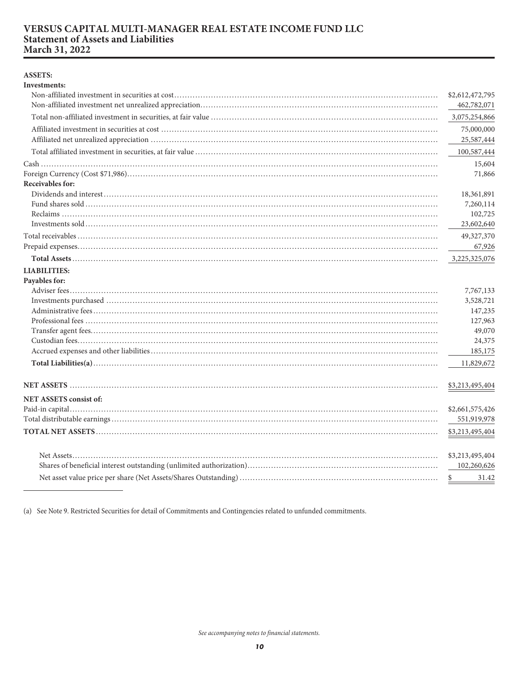# <span id="page-10-0"></span>VERSUS CAPITAL MULTI-MANAGER REAL ESTATE INCOME FUND LLC **Statement of Assets and Liabilities** March 31, 2022

#### **ASSETS:**

| <b>Investments:</b>           |                 |
|-------------------------------|-----------------|
|                               | \$2,612,472,795 |
|                               | 462,782,071     |
|                               | 3,075,254,866   |
|                               | 75,000,000      |
|                               | 25,587,444      |
|                               | 100,587,444     |
|                               | 15,604          |
|                               | 71,866          |
| Receivables for:              |                 |
|                               | 18,361,891      |
|                               | 7,260,114       |
|                               | 102,725         |
|                               | 23,602,640      |
|                               | 49,327,370      |
|                               | 67,926          |
|                               | 3,225,325,076   |
| <b>LIABILITIES:</b>           |                 |
| Payables for:                 |                 |
|                               | 7,767,133       |
|                               | 3,528,721       |
|                               | 147,235         |
|                               | 127,963         |
|                               | 49,070          |
|                               | 24,375          |
|                               | 185,175         |
|                               | 11,829,672      |
|                               | \$3,213,495,404 |
|                               |                 |
| <b>NET ASSETS consist of:</b> |                 |
|                               | \$2,661,575,426 |
|                               | 551,919,978     |
|                               | \$3,213,495,404 |
|                               | \$3,213,495,404 |
|                               | 102,260,626     |
|                               | 31.42<br>\$     |
|                               |                 |

(a) See Note 9. Restricted Securities for detail of Commitments and Contingencies related to unfunded commitments.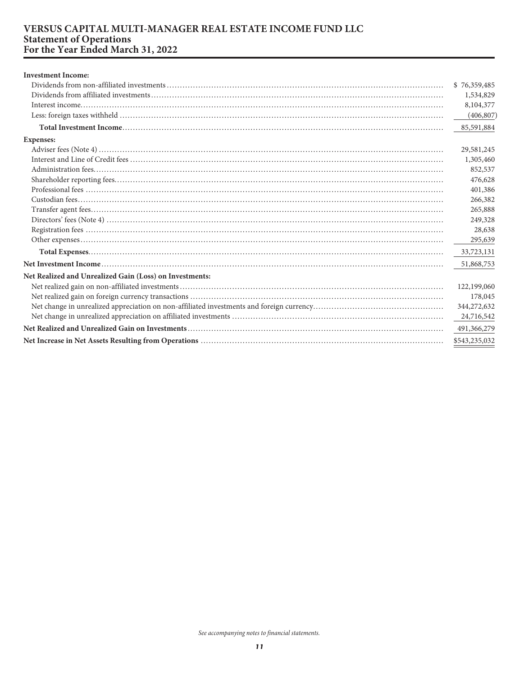# <span id="page-11-0"></span>VERSUS CAPITAL MULTI-MANAGER REAL ESTATE INCOME FUND LLC<br>Statement of Operations<br>For the Year Ended March 31, 2022

#### **Investment Income:**

|                                                         | \$76,359,485  |
|---------------------------------------------------------|---------------|
|                                                         | 1,534,829     |
|                                                         | 8,104,377     |
|                                                         | (406, 807)    |
|                                                         | 85,591,884    |
| <b>Expenses:</b>                                        |               |
|                                                         | 29,581,245    |
|                                                         | 1,305,460     |
|                                                         | 852,537       |
|                                                         | 476,628       |
|                                                         | 401,386       |
|                                                         | 266,382       |
|                                                         | 265,888       |
|                                                         | 249,328       |
|                                                         | 28,638        |
|                                                         | 295,639       |
|                                                         | 33,723,131    |
|                                                         | 51,868,753    |
| Net Realized and Unrealized Gain (Loss) on Investments: |               |
|                                                         | 122,199,060   |
|                                                         | 178,045       |
|                                                         | 344,272,632   |
|                                                         | 24,716,542    |
|                                                         | 491,366,279   |
|                                                         | \$543,235,032 |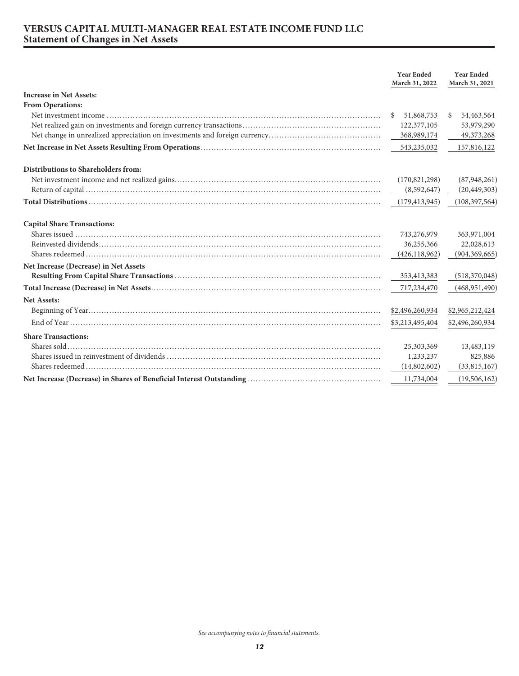# <span id="page-12-0"></span>**VERSUS CAPITAL MULTI-MANAGER REAL ESTATE INCOME FUND LLC Statement of Changes in Net Assets**

|                                       | <b>Year Ended</b><br>March 31, 2022 | <b>Year Ended</b><br>March 31, 2021 |
|---------------------------------------|-------------------------------------|-------------------------------------|
| <b>Increase in Net Assets:</b>        |                                     |                                     |
| <b>From Operations:</b>               |                                     |                                     |
|                                       | 51,868,753<br>\$                    | 54,463,564<br>\$                    |
|                                       | 122,377,105                         | 53,979,290                          |
|                                       | 368,989,174                         | 49, 373, 268                        |
|                                       | 543,235,032                         | 157,816,122                         |
| Distributions to Shareholders from:   |                                     |                                     |
|                                       | (170, 821, 298)                     | (87,948,261)                        |
|                                       | (8,592,647)                         | (20, 449, 303)                      |
|                                       | (179, 413, 945)                     | (108, 397, 564)                     |
| <b>Capital Share Transactions:</b>    |                                     |                                     |
|                                       | 743,276,979                         | 363,971,004                         |
|                                       | 36,255,366                          | 22,028,613                          |
|                                       | (426, 118, 962)                     | (904, 369, 665)                     |
| Net Increase (Decrease) in Net Assets |                                     |                                     |
|                                       | 353,413,383                         | (518,370,048)                       |
|                                       | 717,234,470                         | (468, 951, 490)                     |
| <b>Net Assets:</b>                    |                                     |                                     |
|                                       | \$2,496,260,934                     | \$2,965,212,424                     |
|                                       | \$3,213,495,404                     | \$2,496,260,934                     |
| <b>Share Transactions:</b>            |                                     |                                     |
|                                       | 25,303,369                          | 13,483,119                          |
|                                       | 1,233,237                           | 825,886                             |
|                                       | (14,802,602)                        | (33,815,167)                        |
|                                       | 11,734,004                          | (19,506,162)                        |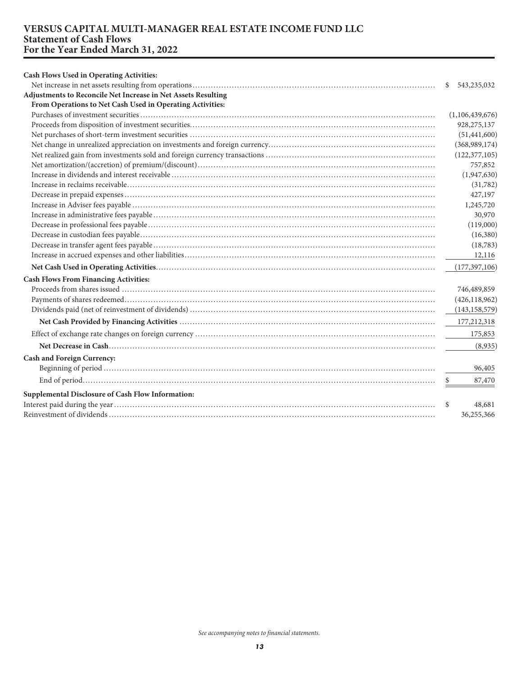# <span id="page-13-0"></span>**VERSUS CAPITAL MULTI-MANAGER REAL ESTATE INCOME FUND LLC Statement of Cash Flows For the Year Ended March 31, 2022**

| <b>Cash Flows Used in Operating Activities:</b><br>Adjustments to Reconcile Net Increase in Net Assets Resulting | \$<br>543,235,032 |
|------------------------------------------------------------------------------------------------------------------|-------------------|
| From Operations to Net Cash Used in Operating Activities:                                                        |                   |
|                                                                                                                  | (1,106,439,676)   |
|                                                                                                                  | 928, 275, 137     |
|                                                                                                                  | (51, 441, 600)    |
|                                                                                                                  | (368, 989, 174)   |
|                                                                                                                  | (122, 377, 105)   |
|                                                                                                                  | 757,852           |
|                                                                                                                  | (1,947,630)       |
|                                                                                                                  | (31,782)          |
|                                                                                                                  | 427,197           |
|                                                                                                                  | 1,245,720         |
|                                                                                                                  | 30,970            |
|                                                                                                                  | (119,000)         |
|                                                                                                                  | (16,380)          |
|                                                                                                                  | (18, 783)         |
|                                                                                                                  | 12,116            |
|                                                                                                                  | (177, 397, 106)   |
| <b>Cash Flows From Financing Activities:</b>                                                                     |                   |
|                                                                                                                  | 746,489,859       |
|                                                                                                                  | (426, 118, 962)   |
|                                                                                                                  | (143, 158, 579)   |
|                                                                                                                  | 177,212,318       |
|                                                                                                                  | 175,853           |
|                                                                                                                  | (8,935)           |
| Cash and Foreign Currency:                                                                                       |                   |
|                                                                                                                  | 96,405            |
|                                                                                                                  | 87,470            |
| Supplemental Disclosure of Cash Flow Information:                                                                |                   |
|                                                                                                                  | 48,681            |
|                                                                                                                  | 36,255,366        |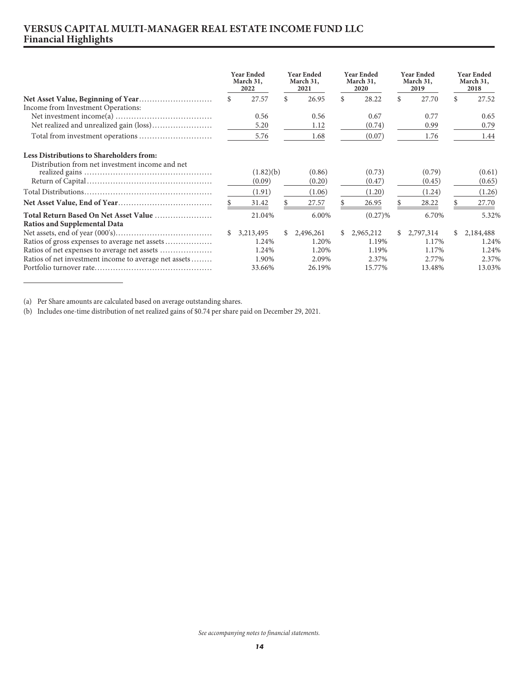# <span id="page-14-0"></span>**VERSUS CAPITAL MULTI-MANAGER REAL ESTATE INCOME FUND LLC Financial Highlights**

|                                                                                             | <b>Year Ended</b><br>March 31,<br>2022 |    | <b>Year Ended</b><br>March 31,<br>2021 |     | <b>Year Ended</b><br>March 31,<br>2020 | <b>Year Ended</b><br>March 31,<br>2019 |     | <b>Year Ended</b><br>March 31,<br>2018 |
|---------------------------------------------------------------------------------------------|----------------------------------------|----|----------------------------------------|-----|----------------------------------------|----------------------------------------|-----|----------------------------------------|
| Income from Investment Operations:                                                          | \$<br>27.57                            | \$ | 26.95                                  | \$  | 28.22                                  | \$<br>27.70                            | \$  | 27.52                                  |
|                                                                                             | 0.56                                   |    | 0.56                                   |     | 0.67                                   | 0.77                                   |     | 0.65                                   |
|                                                                                             | 5.20                                   |    | 1.12                                   |     | (0.74)                                 | 0.99                                   |     | 0.79                                   |
|                                                                                             | 5.76                                   |    | 1.68                                   |     | (0.07)                                 | 1.76                                   |     | 1.44                                   |
| Less Distributions to Shareholders from:<br>Distribution from net investment income and net |                                        |    |                                        |     |                                        |                                        |     |                                        |
|                                                                                             | (1.82)(b)                              |    | (0.86)                                 |     | (0.73)                                 | (0.79)                                 |     | (0.61)                                 |
|                                                                                             | (0.09)                                 |    | (0.20)                                 |     | (0.47)                                 | (0.45)                                 |     | (0.65)                                 |
|                                                                                             | (1.91)                                 |    | (1.06)                                 |     | (1.20)                                 | (1.24)                                 |     | (1.26)                                 |
|                                                                                             | 31.42                                  |    | 27.57                                  |     | 26.95                                  | 28.22                                  |     | 27.70                                  |
| Total Return Based On Net Asset Value<br><b>Ratios and Supplemental Data</b>                | 21.04%                                 |    | 6.00%                                  |     | $(0.27)\%$                             | 6.70%                                  |     | 5.32%                                  |
|                                                                                             | \$3,213,495                            | S. | 2,496,261                              | SS. | 2,965,212                              | \$<br>2,797,314                        | \$. | 2,184,488                              |
| Ratios of gross expenses to average net assets                                              | 1.24%                                  |    | 1.20%                                  |     | 1.19%                                  | 1.17%                                  |     | 1.24%                                  |
|                                                                                             | 1.24%                                  |    | 1.20%                                  |     | 1.19%                                  | 1.17%                                  |     | 1.24%                                  |
| Ratios of net investment income to average net assets                                       | 1.90%                                  |    | 2.09%                                  |     | 2.37%                                  | 2.77%                                  |     | 2.37%                                  |
|                                                                                             | 33.66%                                 |    | 26.19%                                 |     | 15.77%                                 | 13.48%                                 |     | 13.03%                                 |

(a) Per Share amounts are calculated based on average outstanding shares.

(b) Includes one-time distribution of net realized gains of \$0.74 per share paid on December 29, 2021.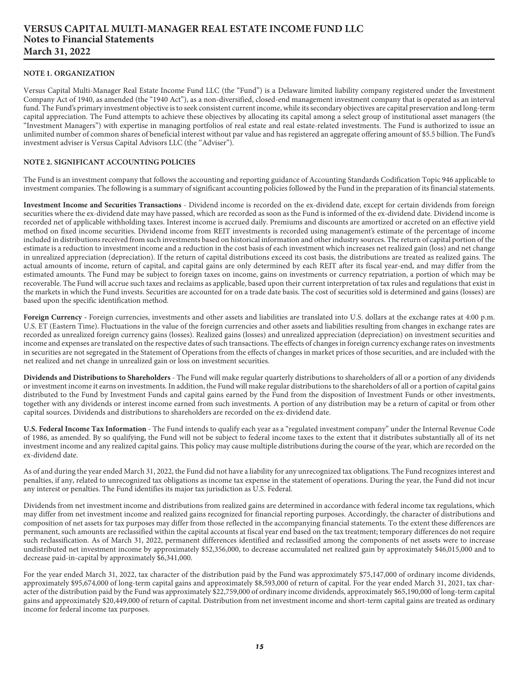## <span id="page-15-0"></span>**NOTE 1. ORGANIZATION**

Versus Capital Multi-Manager Real Estate Income Fund LLC (the "Fund") is a Delaware limited liability company registered under the Investment Company Act of 1940, as amended (the "1940 Act"), as a non-diversified, closed-end management investment company that is operated as an interval fund. The Fund's primary investment objective is to seek consistent current income, while its secondary objectives are capital preservation and long-term capital appreciation. The Fund attempts to achieve these objectives by allocating its capital among a select group of institutional asset managers (the "Investment Managers") with expertise in managing portfolios of real estate and real estate-related investments. The Fund is authorized to issue an unlimited number of common shares of beneficial interest without par value and has registered an aggregate offering amount of \$5.5 billion. The Fund's investment adviser is Versus Capital Advisors LLC (the ''Adviser'').

## **NOTE 2. SIGNIFICANT ACCOUNTING POLICIES**

The Fund is an investment company that follows the accounting and reporting guidance of Accounting Standards Codification Topic 946 applicable to investment companies. The following is a summary of significant accounting policies followed by the Fund in the preparation of its financial statements.

**Investment Income and Securities Transactions** - Dividend income is recorded on the ex-dividend date, except for certain dividends from foreign securities where the ex-dividend date may have passed, which are recorded as soon as the Fund is informed of the ex-dividend date. Dividend income is recorded net of applicable withholding taxes. Interest income is accrued daily. Premiums and discounts are amortized or accreted on an effective yield method on fixed income securities. Dividend income from REIT investments is recorded using management's estimate of the percentage of income included in distributions received from such investments based on historical information and other industry sources. The return of capital portion of the estimate is a reduction to investment income and a reduction in the cost basis of each investment which increases net realized gain (loss) and net change in unrealized appreciation (depreciation). If the return of capital distributions exceed its cost basis, the distributions are treated as realized gains. The actual amounts of income, return of capital, and capital gains are only determined by each REIT after its fiscal year-end, and may differ from the estimated amounts. The Fund may be subject to foreign taxes on income, gains on investments or currency repatriation, a portion of which may be recoverable. The Fund will accrue such taxes and reclaims as applicable, based upon their current interpretation of tax rules and regulations that exist in the markets in which the Fund invests. Securities are accounted for on a trade date basis. The cost of securities sold is determined and gains (losses) are based upon the specific identification method.

**Foreign Currency -** Foreign currencies, investments and other assets and liabilities are translated into U.S. dollars at the exchange rates at 4:00 p.m. U.S. ET (Eastern Time). Fluctuations in the value of the foreign currencies and other assets and liabilities resulting from changes in exchange rates are recorded as unrealized foreign currency gains (losses). Realized gains (losses) and unrealized appreciation (depreciation) on investment securities and income and expenses are translated on the respective dates of such transactions. The effects of changes in foreign currency exchange rates on investments in securities are not segregated in the Statement of Operations from the effects of changes in market prices of those securities, and are included with the net realized and net change in unrealized gain or loss on investment securities.

**Dividends and Distributions to Shareholders** - The Fund will make regular quarterly distributions to shareholders of all or a portion of any dividends or investment income it earns on investments. In addition, the Fund will make regular distributions to the shareholders of all or a portion of capital gains distributed to the Fund by Investment Funds and capital gains earned by the Fund from the disposition of Investment Funds or other investments, together with any dividends or interest income earned from such investments. A portion of any distribution may be a return of capital or from other capital sources. Dividends and distributions to shareholders are recorded on the ex-dividend date.

**U.S. Federal Income Tax Information** - The Fund intends to qualify each year as a "regulated investment company" under the Internal Revenue Code of 1986, as amended. By so qualifying, the Fund will not be subject to federal income taxes to the extent that it distributes substantially all of its net investment income and any realized capital gains. This policy may cause multiple distributions during the course of the year, which are recorded on the ex-dividend date.

As of and during the year ended March 31, 2022, the Fund did not have a liability for any unrecognized tax obligations. The Fund recognizes interest and penalties, if any, related to unrecognized tax obligations as income tax expense in the statement of operations. During the year, the Fund did not incur any interest or penalties. The Fund identifies its major tax jurisdiction as U.S. Federal.

Dividends from net investment income and distributions from realized gains are determined in accordance with federal income tax regulations, which may differ from net investment income and realized gains recognized for financial reporting purposes. Accordingly, the character of distributions and composition of net assets for tax purposes may differ from those reflected in the accompanying financial statements. To the extent these differences are permanent, such amounts are reclassified within the capital accounts at fiscal year end based on the tax treatment; temporary differences do not require such reclassification. As of March 31, 2022, permanent differences identified and reclassified among the components of net assets were to increase undistributed net investment income by approximately \$52,356,000, to decrease accumulated net realized gain by approximately \$46,015,000 and to decrease paid-in-capital by approximately \$6,341,000.

For the year ended March 31, 2022, tax character of the distribution paid by the Fund was approximately \$75,147,000 of ordinary income dividends, approximately \$95,674,000 of long-term capital gains and approximately \$8,593,000 of return of capital. For the year ended March 31, 2021, tax character of the distribution paid by the Fund was approximately \$22,759,000 of ordinary income dividends, approximately \$65,190,000 of long-term capital gains and approximately \$20,449,000 of return of capital. Distribution from net investment income and short-term capital gains are treated as ordinary income for federal income tax purposes.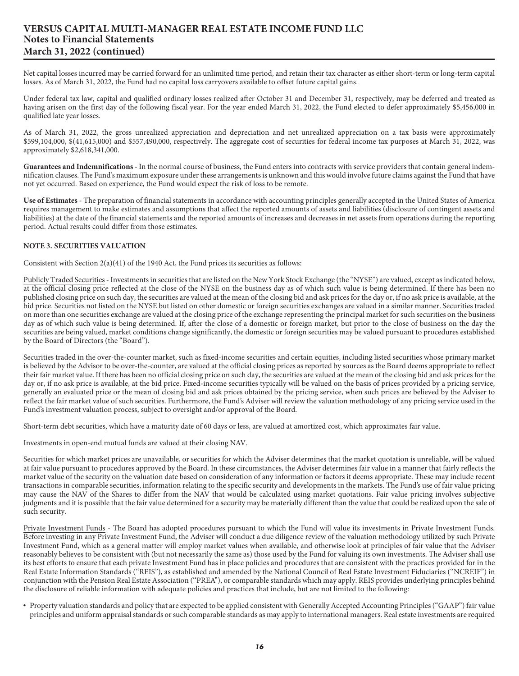Net capital losses incurred may be carried forward for an unlimited time period, and retain their tax character as either short-term or long-term capital losses. As of March 31, 2022, the Fund had no capital loss carryovers available to offset future capital gains.

Under federal tax law, capital and qualified ordinary losses realized after October 31 and December 31, respectively, may be deferred and treated as having arisen on the first day of the following fiscal year. For the year ended March 31, 2022, the Fund elected to defer approximately \$5,456,000 in qualified late year losses.

As of March 31, 2022, the gross unrealized appreciation and depreciation and net unrealized appreciation on a tax basis were approximately \$599,104,000, \$(41,615,000) and \$557,490,000, respectively. The aggregate cost of securities for federal income tax purposes at March 31, 2022, was approximately \$2,618,341,000.

**Guarantees and Indemnifications** - In the normal course of business, the Fund enters into contracts with service providers that contain general indemnification clauses. The Fund's maximum exposure under these arrangements is unknown and this would involve future claims against the Fund that have not yet occurred. Based on experience, the Fund would expect the risk of loss to be remote.

**Use of Estimates** - The preparation of financial statements in accordance with accounting principles generally accepted in the United States of America requires management to make estimates and assumptions that affect the reported amounts of assets and liabilities (disclosure of contingent assets and liabilities) at the date of the financial statements and the reported amounts of increases and decreases in net assets from operations during the reporting period. Actual results could differ from those estimates.

## **NOTE 3. SECURITIES VALUATION**

Consistent with Section  $2(a)(41)$  of the 1940 Act, the Fund prices its securities as follows:

Publicly Traded Securities - Investments in securities that are listed on the New York Stock Exchange (the "NYSE") are valued, except as indicated below, at the official closing price reflected at the close of the NYSE on the business day as of which such value is being determined. If there has been no published closing price on such day, the securities are valued at the mean of the closing bid and ask prices for the day or, if no ask price is available, at the bid price. Securities not listed on the NYSE but listed on other domestic or foreign securities exchanges are valued in a similar manner. Securities traded on more than one securities exchange are valued at the closing price of the exchange representing the principal market for such securities on the business day as of which such value is being determined. If, after the close of a domestic or foreign market, but prior to the close of business on the day the securities are being valued, market conditions change significantly, the domestic or foreign securities may be valued pursuant to procedures established by the Board of Directors (the "Board").

Securities traded in the over-the-counter market, such as fixed-income securities and certain equities, including listed securities whose primary market is believed by the Advisor to be over-the-counter, are valued at the official closing prices as reported by sources as the Board deems appropriate to reflect their fair market value. If there has been no official closing price on such day, the securities are valued at the mean of the closing bid and ask prices for the day or, if no ask price is available, at the bid price. Fixed-income securities typically will be valued on the basis of prices provided by a pricing service, generally an evaluated price or the mean of closing bid and ask prices obtained by the pricing service, when such prices are believed by the Adviser to reflect the fair market value of such securities. Furthermore, the Fund's Adviser will review the valuation methodology of any pricing service used in the Fund's investment valuation process, subject to oversight and/or approval of the Board.

Short-term debt securities, which have a maturity date of 60 days or less, are valued at amortized cost, which approximates fair value.

Investments in open-end mutual funds are valued at their closing NAV.

Securities for which market prices are unavailable, or securities for which the Adviser determines that the market quotation is unreliable, will be valued at fair value pursuant to procedures approved by the Board. In these circumstances, the Adviser determines fair value in a manner that fairly reflects the market value of the security on the valuation date based on consideration of any information or factors it deems appropriate. These may include recent transactions in comparable securities, information relating to the specific security and developments in the markets. The Fund's use of fair value pricing may cause the NAV of the Shares to differ from the NAV that would be calculated using market quotations. Fair value pricing involves subjective judgments and it is possible that the fair value determined for a security may be materially different than the value that could be realized upon the sale of such security.

Private Investment Funds - The Board has adopted procedures pursuant to which the Fund will value its investments in Private Investment Funds. Before investing in any Private Investment Fund, the Adviser will conduct a due diligence review of the valuation methodology utilized by such Private Investment Fund, which as a general matter will employ market values when available, and otherwise look at principles of fair value that the Adviser reasonably believes to be consistent with (but not necessarily the same as) those used by the Fund for valuing its own investments. The Adviser shall use its best efforts to ensure that each private Investment Fund has in place policies and procedures that are consistent with the practices provided for in the Real Estate Information Standards (''REIS''), as established and amended by the National Council of Real Estate Investment Fiduciaries (''NCREIF'') in conjunction with the Pension Real Estate Association (''PREA''), or comparable standards which may apply. REIS provides underlying principles behind the disclosure of reliable information with adequate policies and practices that include, but are not limited to the following:

• Property valuation standards and policy that are expected to be applied consistent with Generally Accepted Accounting Principles ("GAAP") fair value principles and uniform appraisal standards or such comparable standards as may apply to international managers. Real estate investments are required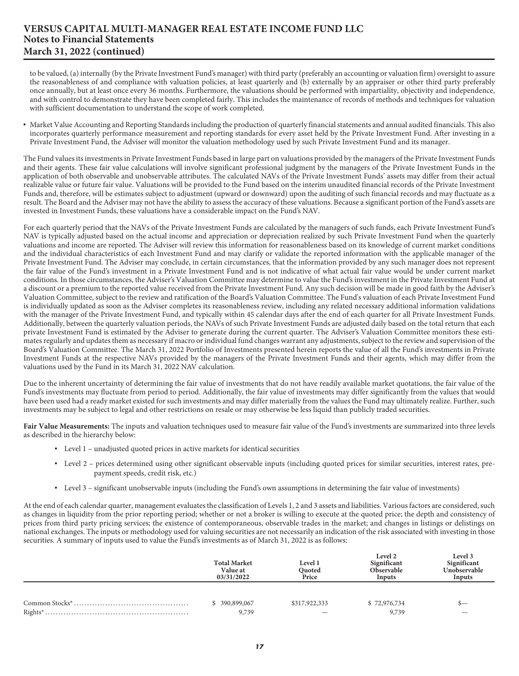to be valued, (a) internally (by the Private Investment Fund's manager) with third party (preferably an accounting or valuation firm) oversight to assure the reasonableness of and compliance with valuation policies, at least quarterly and (b) externally by an appraiser or other third party preferably once annually, but at least once every 36 months. Furthermore, the valuations should be performed with impartiality, objectivity and independence, and with control to demonstrate they have been completed fairly. This includes the maintenance of records of methods and techniques for valuation with sufficient documentation to understand the scope of work completed.

• Market Value Accounting and Reporting Standards including the production of quarterly financial statements and annual audited financials. This also incorporates quarterly performance measurement and reporting standards for every asset held by the Private Investment Fund. After investing in a Private Investment Fund, the Adviser will monitor the valuation methodology used by such Private Investment Fund and its manager.

The Fund values its investments in Private Investment Funds based in large part on valuations provided by the managers of the Private Investment Funds and their agents. These fair value calculations will involve significant professional judgment by the managers of the Private Investment Funds in the application of both observable and unobservable attributes. The calculated NAVs of the Private Investment Funds' assets may differ from their actual realizable value or future fair value. Valuations will be provided to the Fund based on the interim unaudited financial records of the Private Investment Funds and, therefore, will be estimates subject to adjustment (upward or downward) upon the auditing of such financial records and may fluctuate as a result. The Board and the Adviser may not have the ability to assess the accuracy of these valuations. Because a significant portion of the Fund's assets are invested in Investment Funds, these valuations have a considerable impact on the Fund's NAV.

For each quarterly period that the NAVs of the Private Investment Funds are calculated by the managers of such funds, each Private Investment Fund's NAV is typically adjusted based on the actual income and appreciation or depreciation realized by such Private Investment Fund when the quarterly valuations and income are reported. The Adviser will review this information for reasonableness based on its knowledge of current market conditions and the individual characteristics of each Investment Fund and may clarify or validate the reported information with the applicable manager of the Private Investment Fund. The Adviser may conclude, in certain circumstances, that the information provided by any such manager does not represent the fair value of the Fund's investment in a Private Investment Fund and is not indicative of what actual fair value would be under current market conditions. In those circumstances, the Adviser's Valuation Committee may determine to value the Fund's investment in the Private Investment Fund at a discount or a premium to the reported value received from the Private Investment Fund. Any such decision will be made in good faith by the Adviser's Valuation Committee, subject to the review and ratification of the Board's Valuation Committee. The Fund's valuation of each Private Investment Fund is individually updated as soon as the Adviser completes its reasonableness review, including any related necessary additional information validations with the manager of the Private Investment Fund, and typically within 45 calendar days after the end of each quarter for all Private Investment Funds. Additionally, between the quarterly valuation periods, the NAVs of such Private Investment Funds are adjusted daily based on the total return that each private Investment Fund is estimated by the Adviser to generate during the current quarter. The Adviser's Valuation Committee monitors these estimates regularly and updates them as necessary if macro or individual fund changes warrant any adjustments, subject to the review and supervision of the Board's Valuation Committee. The March 31, 2022 Portfolio of Investments presented herein reports the value of all the Fund's investments in Private Investment Funds at the respective NAVs provided by the managers of the Private Investment Funds and their agents, which may differ from the valuations used by the Fund in its March 31, 2022 NAV calculation.

Due to the inherent uncertainty of determining the fair value of investments that do not have readily available market quotations, the fair value of the Fund's investments may fluctuate from period to period. Additionally, the fair value of investments may differ significantly from the values that would have been used had a ready market existed for such investments and may differ materially from the values the Fund may ultimately realize. Further, such investments may be subject to legal and other restrictions on resale or may otherwise be less liquid than publicly traded securities.

**Fair Value Measurements:** The inputs and valuation techniques used to measure fair value of the Fund's investments are summarized into three levels as described in the hierarchy below:

- Level 1 unadjusted quoted prices in active markets for identical securities
- Level 2 prices determined using other significant observable inputs (including quoted prices for similar securities, interest rates, prepayment speeds, credit risk, etc.)
- Level 3 significant unobservable inputs (including the Fund's own assumptions in determining the fair value of investments)

At the end of each calendar quarter, management evaluates the classification of Levels 1, 2 and 3 assets and liabilities. Various factors are considered, such as changes in liquidity from the prior reporting period; whether or not a broker is willing to execute at the quoted price; the depth and consistency of prices from third party pricing services; the existence of contemporaneous, observable trades in the market; and changes in listings or delistings on national exchanges. The inputs or methodology used for valuing securities are not necessarily an indication of the risk associated with investing in those securities. A summary of inputs used to value the Fund's investments as of March 31, 2022 is as follows:

| <b>Total Market</b><br>Value at<br>03/31/2022 | Level 1<br><b>Quoted</b><br>Price | Level 2<br>Significant<br>Observable<br>Inputs | Level 3<br>Significant<br>Unobservable<br>Inputs |
|-----------------------------------------------|-----------------------------------|------------------------------------------------|--------------------------------------------------|
|                                               |                                   |                                                |                                                  |
| \$ 390,899,067                                | \$317,922,333                     | \$72,976,734                                   | <u>&gt;—</u>                                     |
| 9,739                                         |                                   | 9,739                                          | $\overline{\phantom{a}}$                         |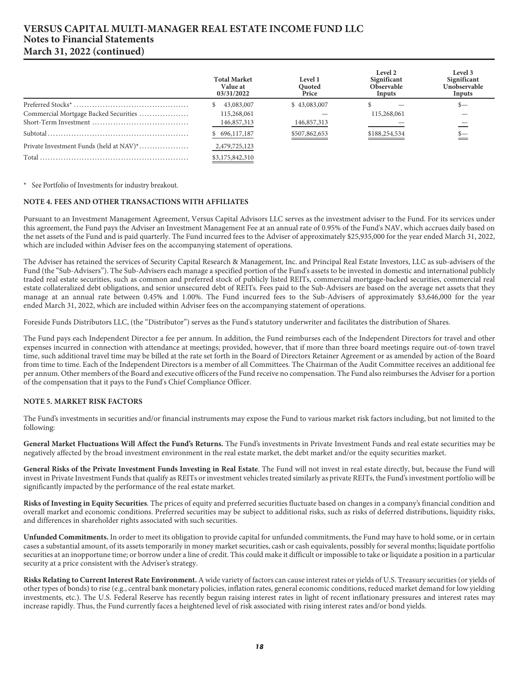|                                         | <b>Total Market</b><br>Value at<br>03/31/2022 | Level 1<br>Ouoted<br>Price | Level 2<br>Significant<br><b>Observable</b><br>Inputs | Level 3<br>Significant<br>Unobservable<br>Inputs |
|-----------------------------------------|-----------------------------------------------|----------------------------|-------------------------------------------------------|--------------------------------------------------|
|                                         | 43,083,007                                    | \$43,083,007               |                                                       |                                                  |
| Commercial Mortgage Backed Securities   | 115,268,061                                   |                            | 115,268,061                                           |                                                  |
|                                         | 146,857,313                                   | 146,857,313                |                                                       |                                                  |
|                                         | 696,117,187                                   | \$507,862,653              | \$188,254,534                                         |                                                  |
| Private Investment Funds (held at NAV)* | 2,479,725,123                                 |                            |                                                       |                                                  |
|                                         | \$3,175,842,310                               |                            |                                                       |                                                  |

\* See Portfolio of Investments for industry breakout.

#### **NOTE 4. FEES AND OTHER TRANSACTIONS WITH AFFILIATES**

Pursuant to an Investment Management Agreement, Versus Capital Advisors LLC serves as the investment adviser to the Fund. For its services under this agreement, the Fund pays the Adviser an Investment Management Fee at an annual rate of 0.95% of the Fund's NAV, which accrues daily based on the net assets of the Fund and is paid quarterly. The Fund incurred fees to the Adviser of approximately \$25,935,000 for the year ended March 31, 2022, which are included within Adviser fees on the accompanying statement of operations.

The Adviser has retained the services of Security Capital Research & Management, Inc. and Principal Real Estate Investors, LLC as sub-advisers of the Fund (the "Sub-Advisers"). The Sub-Advisers each manage a specified portion of the Fund's assets to be invested in domestic and international publicly traded real estate securities, such as common and preferred stock of publicly listed REITs, commercial mortgage-backed securities, commercial real estate collateralized debt obligations, and senior unsecured debt of REITs. Fees paid to the Sub-Advisers are based on the average net assets that they manage at an annual rate between 0.45% and 1.00%. The Fund incurred fees to the Sub-Advisers of approximately \$3,646,000 for the year ended March 31, 2022, which are included within Adviser fees on the accompanying statement of operations.

Foreside Funds Distributors LLC, (the "Distributor") serves as the Fund's statutory underwriter and facilitates the distribution of Shares.

The Fund pays each Independent Director a fee per annum. In addition, the Fund reimburses each of the Independent Directors for travel and other expenses incurred in connection with attendance at meetings; provided, however, that if more than three board meetings require out-of-town travel time, such additional travel time may be billed at the rate set forth in the Board of Directors Retainer Agreement or as amended by action of the Board from time to time. Each of the Independent Directors is a member of all Committees. The Chairman of the Audit Committee receives an additional fee per annum. Other members of the Board and executive officers of the Fund receive no compensation. The Fund also reimburses the Adviser for a portion of the compensation that it pays to the Fund's Chief Compliance Officer.

#### **NOTE 5. MARKET RISK FACTORS**

The Fund's investments in securities and/or financial instruments may expose the Fund to various market risk factors including, but not limited to the following:

**General Market Fluctuations Will Affect the Fund's Returns.** The Fund's investments in Private Investment Funds and real estate securities may be negatively affected by the broad investment environment in the real estate market, the debt market and/or the equity securities market.

**General Risks of the Private Investment Funds Investing in Real Estate**. The Fund will not invest in real estate directly, but, because the Fund will invest in Private Investment Funds that qualify as REITs or investment vehicles treated similarly as private REITs, the Fund's investment portfolio will be significantly impacted by the performance of the real estate market.

**Risks of Investing in Equity Securities**. The prices of equity and preferred securities fluctuate based on changes in a company's financial condition and overall market and economic conditions. Preferred securities may be subject to additional risks, such as risks of deferred distributions, liquidity risks, and differences in shareholder rights associated with such securities.

**Unfunded Commitments.** In order to meet its obligation to provide capital for unfunded commitments, the Fund may have to hold some, or in certain cases a substantial amount, of its assets temporarily in money market securities, cash or cash equivalents, possibly for several months; liquidate portfolio securities at an inopportune time; or borrow under a line of credit. This could make it difficult or impossible to take or liquidate a position in a particular security at a price consistent with the Adviser's strategy.

**Risks Relating to Current Interest Rate Environment.** A wide variety of factors can cause interest rates or yields of U.S. Treasury securities (or yields of other types of bonds) to rise (e.g., central bank monetary policies, inflation rates, general economic conditions, reduced market demand for low yielding investments, etc.). The U.S. Federal Reserve has recently begun raising interest rates in light of recent inflationary pressures and interest rates may increase rapidly. Thus, the Fund currently faces a heightened level of risk associated with rising interest rates and/or bond yields.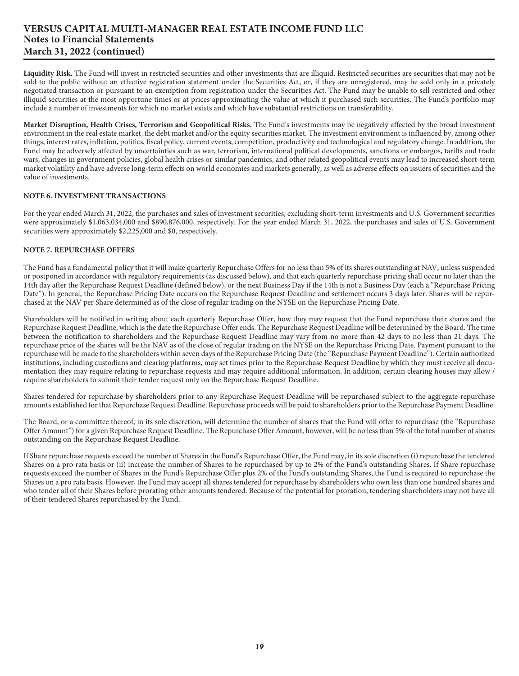**Liquidity Risk.** The Fund will invest in restricted securities and other investments that are illiquid. Restricted securities are securities that may not be sold to the public without an effective registration statement under the Securities Act, or, if they are unregistered, may be sold only in a privately negotiated transaction or pursuant to an exemption from registration under the Securities Act. The Fund may be unable to sell restricted and other illiquid securities at the most opportune times or at prices approximating the value at which it purchased such securities. The Fund's portfolio may include a number of investments for which no market exists and which have substantial restrictions on transferability.

**Market Disruption, Health Crises, Terrorism and Geopolitical Risks.** The Fund's investments may be negatively affected by the broad investment environment in the real estate market, the debt market and/or the equity securities market. The investment environment is influenced by, among other things, interest rates, inflation, politics, fiscal policy, current events, competition, productivity and technological and regulatory change. In addition, the Fund may be adversely affected by uncertainties such as war, terrorism, international political developments, sanctions or embargos, tariffs and trade wars, changes in government policies, global health crises or similar pandemics, and other related geopolitical events may lead to increased short-term market volatility and have adverse long-term effects on world economies and markets generally, as well as adverse effects on issuers of securities and the value of investments.

## **NOTE 6. INVESTMENT TRANSACTIONS**

For the year ended March 31, 2022, the purchases and sales of investment securities, excluding short-term investments and U.S. Government securities were approximately \$1,063,034,000 and \$890,876,000, respectively. For the year ended March 31, 2022, the purchases and sales of U.S. Government securities were approximately \$2,225,000 and \$0, respectively.

## **NOTE 7. REPURCHASE OFFERS**

The Fund has a fundamental policy that it will make quarterly Repurchase Offers for no less than 5% of its shares outstanding at NAV, unless suspended or postponed in accordance with regulatory requirements (as discussed below), and that each quarterly repurchase pricing shall occur no later than the 14th day after the Repurchase Request Deadline (defined below), or the next Business Day if the 14th is not a Business Day (each a "Repurchase Pricing Date"). In general, the Repurchase Pricing Date occurs on the Repurchase Request Deadline and settlement occurs 3 days later. Shares will be repurchased at the NAV per Share determined as of the close of regular trading on the NYSE on the Repurchase Pricing Date.

Shareholders will be notified in writing about each quarterly Repurchase Offer, how they may request that the Fund repurchase their shares and the Repurchase Request Deadline, which is the date the Repurchase Offer ends. The Repurchase Request Deadline will be determined by the Board. The time between the notification to shareholders and the Repurchase Request Deadline may vary from no more than 42 days to no less than 21 days. The repurchase price of the shares will be the NAV as of the close of regular trading on the NYSE on the Repurchase Pricing Date. Payment pursuant to the repurchase will be made to the shareholders within seven days of the Repurchase Pricing Date (the "Repurchase Payment Deadline"). Certain authorized institutions, including custodians and clearing platforms, may set times prior to the Repurchase Request Deadline by which they must receive all documentation they may require relating to repurchase requests and may require additional information. In addition, certain clearing houses may allow / require shareholders to submit their tender request only on the Repurchase Request Deadline.

Shares tendered for repurchase by shareholders prior to any Repurchase Request Deadline will be repurchased subject to the aggregate repurchase amounts established for that Repurchase Request Deadline. Repurchase proceeds will be paid to shareholders prior to the Repurchase Payment Deadline.

The Board, or a committee thereof, in its sole discretion, will determine the number of shares that the Fund will offer to repurchase (the "Repurchase Offer Amount") for a given Repurchase Request Deadline. The Repurchase Offer Amount, however, will be no less than 5% of the total number of shares outstanding on the Repurchase Request Deadline.

If Share repurchase requests exceed the number of Shares in the Fund's Repurchase Offer, the Fund may, in its sole discretion (i) repurchase the tendered Shares on a pro rata basis or (ii) increase the number of Shares to be repurchased by up to 2% of the Fund's outstanding Shares. If Share repurchase requests exceed the number of Shares in the Fund's Repurchase Offer plus 2% of the Fund's outstanding Shares, the Fund is required to repurchase the Shares on a pro rata basis. However, the Fund may accept all shares tendered for repurchase by shareholders who own less than one hundred shares and who tender all of their Shares before prorating other amounts tendered. Because of the potential for proration, tendering shareholders may not have all of their tendered Shares repurchased by the Fund.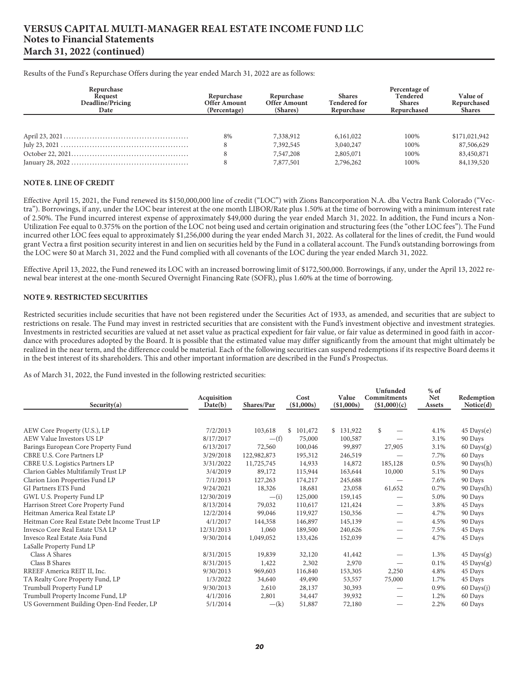| Repurchase<br>Request<br>Deadline/Pricing<br>Date | Repurchase<br><b>Offer Amount</b><br>(Percentage) | Repurchase<br><b>Offer Amount</b><br>(Shares) | <b>Shares</b><br><b>Tendered for</b><br>Repurchase | Percentage of<br><b>Tendered</b><br><b>Shares</b><br>Repurchased | Value of<br>Repurchased<br><b>Shares</b> |
|---------------------------------------------------|---------------------------------------------------|-----------------------------------------------|----------------------------------------------------|------------------------------------------------------------------|------------------------------------------|
|                                                   |                                                   |                                               |                                                    |                                                                  |                                          |
|                                                   | 8%                                                | 7,338,912                                     | 6,161,022                                          | 100%                                                             | \$171,021,942                            |
|                                                   |                                                   | 7,392,545                                     | 3,040,247                                          | 100%                                                             | 87,506,629                               |
|                                                   |                                                   | 7,547,208                                     | 2,805,071                                          | 100%                                                             | 83,450,871                               |
|                                                   |                                                   | 7,877,501                                     | 2,796,262                                          | 100%                                                             | 84,139,520                               |

Results of the Fund's Repurchase Offers during the year ended March 31, 2022 are as follows:

## **NOTE 8. LINE OF CREDIT**

Effective April 15, 2021, the Fund renewed its \$150,000,000 line of credit ("LOC") with Zions Bancorporation N.A. dba Vectra Bank Colorado ("Vectra"). Borrowings, if any, under the LOC bear interest at the one month LIBOR/Rate plus 1.50% at the time of borrowing with a minimum interest rate of 2.50%. The Fund incurred interest expense of approximately \$49,000 during the year ended March 31, 2022. In addition, the Fund incurs a Non-Utilization Fee equal to 0.375% on the portion of the LOC not being used and certain origination and structuring fees (the "other LOC fees"). The Fund incurred other LOC fees equal to approximately \$1,256,000 during the year ended March 31, 2022. As collateral for the lines of credit, the Fund would grant Vectra a first position security interest in and lien on securities held by the Fund in a collateral account. The Fund's outstanding borrowings from the LOC were \$0 at March 31, 2022 and the Fund complied with all covenants of the LOC during the year ended March 31, 2022.

Effective April 13, 2022, the Fund renewed its LOC with an increased borrowing limit of \$172,500,000. Borrowings, if any, under the April 13, 2022 renewal bear interest at the one-month Secured Overnight Financing Rate (SOFR), plus 1.60% at the time of borrowing.

#### **NOTE 9. RESTRICTED SECURITIES**

Restricted securities include securities that have not been registered under the Securities Act of 1933, as amended, and securities that are subject to restrictions on resale. The Fund may invest in restricted securities that are consistent with the Fund's investment objective and investment strategies. Investments in restricted securities are valued at net asset value as practical expedient for fair value, or fair value as determined in good faith in accordance with procedures adopted by the Board. It is possible that the estimated value may differ significantly from the amount that might ultimately be realized in the near term, and the difference could be material. Each of the following securities can suspend redemptions if its respective Board deems it in the best interest of its shareholders. This and other important information are described in the Fund's Prospectus.

As of March 31, 2022, the Fund invested in the following restricted securities:

| Security(a)                                   | Acquisition<br>Date(b) | Shares/Par  | Cost<br>(\$1,000s) | Value<br>(\$1,000s) | Unfunded<br>Commitments<br>(\$1,000)(c) | $%$ of<br><b>Net</b><br>Assets | Redemption<br>Notice(d) |
|-----------------------------------------------|------------------------|-------------|--------------------|---------------------|-----------------------------------------|--------------------------------|-------------------------|
| AEW Core Property (U.S.), LP                  | 7/2/2013               | 103,618     | 101,472<br>\$      | \$131,922           | \$                                      | 4.1%                           | $45 \text{ Days}(e)$    |
| AEW Value Investors US LP                     | 8/17/2017              | $-(f)$      | 75,000             | 100,587             |                                         | 3.1%                           | 90 Days                 |
| Barings European Core Property Fund           | 6/13/2017              | 72,560      | 100,046            | 99,897              | 27,905                                  | 3.1%                           | $60$ Days $(g)$         |
| CBRE U.S. Core Partners LP                    | 3/29/2018              | 122,982,873 | 195,312            | 246,519             |                                         | 7.7%                           | 60 Days                 |
| CBRE U.S. Logistics Partners LP               | 3/31/2022              | 11,725,745  | 14,933             | 14,872              | 185,128                                 | 0.5%                           | 90 Days(h)              |
| Clarion Gables Multifamily Trust LP           | 3/4/2019               | 89,172      | 115,944            | 163,644             | 10,000                                  | 5.1%                           | 90 Days                 |
| Clarion Lion Properties Fund LP               | 7/1/2013               | 127,263     | 174,217            | 245,688             |                                         | 7.6%                           | 90 Days                 |
| GI Partners ETS Fund                          | 9/24/2021              | 18,326      | 18,681             | 23,058              | 61,652                                  | 0.7%                           | 90 Days(h)              |
| GWL U.S. Property Fund LP                     | 12/30/2019             | $-$ (i)     | 125,000            | 159,145             |                                         | 5.0%                           | 90 Days                 |
| Harrison Street Core Property Fund            | 8/13/2014              | 79,032      | 110,617            | 121,424             |                                         | 3.8%                           | 45 Days                 |
| Heitman America Real Estate LP                | 12/2/2014              | 99,046      | 119,927            | 150,356             |                                         | 4.7%                           | 90 Days                 |
| Heitman Core Real Estate Debt Income Trust LP | 4/1/2017               | 144,358     | 146,897            | 145,139             |                                         | 4.5%                           | 90 Days                 |
| Invesco Core Real Estate USA LP               | 12/31/2013             | 1,060       | 189,500            | 240,626             |                                         | 7.5%                           | 45 Days                 |
| Invesco Real Estate Asia Fund                 | 9/30/2014              | 1,049,052   | 133,426            | 152,039             | —                                       | 4.7%                           | 45 Days                 |
| LaSalle Property Fund LP                      |                        |             |                    |                     |                                         |                                |                         |
| Class A Shares                                | 8/31/2015              | 19,839      | 32,120             | 41,442              |                                         | 1.3%                           | $45$ Days $(g)$         |
| Class B Shares                                | 8/31/2015              | 1,422       | 2,302              | 2,970               |                                         | 0.1%                           | 45 Days(g)              |
| RREEF America REIT II, Inc.                   | 9/30/2013              | 969,603     | 116,840            | 153,305             | 2,250                                   | 4.8%                           | 45 Days                 |
| TA Realty Core Property Fund, LP              | 1/3/2022               | 34,640      | 49,490             | 53,557              | 75,000                                  | 1.7%                           | 45 Days                 |
| Trumbull Property Fund LP                     | 9/30/2013              | 2,610       | 28,137             | 30,393              |                                         | 0.9%                           | $60$ Days $(i)$         |
| Trumbull Property Income Fund, LP             | 4/1/2016               | 2,801       | 34,447             | 39,932              |                                         | 1.2%                           | 60 Days                 |
| US Government Building Open-End Feeder, LP    | 5/1/2014               | $-(k)$      | 51,887             | 72,180              |                                         | 2.2%                           | 60 Days                 |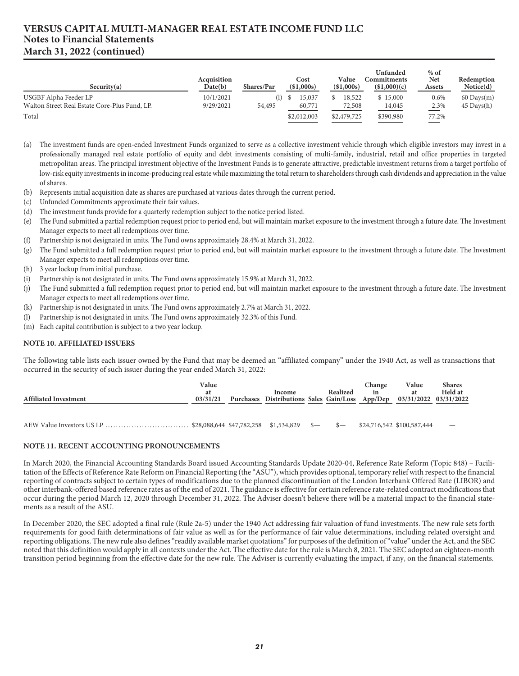| Security(a)                                   | Acquisition<br>Date(b) | Shares/Par | Cost<br>(\$1,000s) | Value<br>( \$1,000s) | Unfunded<br>Commitments<br>(\$1,000)(c) | $%$ of<br><b>Net</b><br><b>Assets</b> | Redemption<br>Notice(d) |
|-----------------------------------------------|------------------------|------------|--------------------|----------------------|-----------------------------------------|---------------------------------------|-------------------------|
| USGBF Alpha Feeder LP                         | 10/1/2021              | $-$ (1) \$ | 15,037             | 18,522               | \$15,000                                | 0.6%                                  | $60$ Days $(m)$         |
| Walton Street Real Estate Core-Plus Fund, LP. | 9/29/2021              | 54,495     | 60,771             | 72,508               | 14,045                                  | 2.3%                                  | $45$ Days(h)            |
| Total                                         |                        |            | \$2,012,003        | \$2,479,725          | \$390,980                               | 77.2%                                 |                         |

(a) The investment funds are open-ended Investment Funds organized to serve as a collective investment vehicle through which eligible investors may invest in a professionally managed real estate portfolio of equity and debt investments consisting of multi-family, industrial, retail and office properties in targeted metropolitan areas. The principal investment objective of the Investment Funds is to generate attractive, predictable investment returns from a target portfolio of low-risk equity investments in income-producing real estate while maximizing the total return to shareholders through cash dividends and appreciation in the value of shares.

- (b) Represents initial acquisition date as shares are purchased at various dates through the current period.
- (c) Unfunded Commitments approximate their fair values.
- (d) The investment funds provide for a quarterly redemption subject to the notice period listed.
- (e) The Fund submitted a partial redemption request prior to period end, but will maintain market exposure to the investment through a future date. The Investment Manager expects to meet all redemptions over time.
- (f) Partnership is not designated in units. The Fund owns approximately 28.4% at March 31, 2022.
- (g) The Fund submitted a full redemption request prior to period end, but will maintain market exposure to the investment through a future date. The Investment Manager expects to meet all redemptions over time.
- (h) 3 year lockup from initial purchase.
- (i) Partnership is not designated in units. The Fund owns approximately 15.9% at March 31, 2022.
- (j) The Fund submitted a full redemption request prior to period end, but will maintain market exposure to the investment through a future date. The Investment Manager expects to meet all redemptions over time.
- (k) Partnership is not designated in units. The Fund owns approximately 2.7% at March 31, 2022.
- (l) Partnership is not designated in units. The Fund owns approximately 32.3% of this Fund.
- (m) Each capital contribution is subject to a two year lockup.

#### **NOTE 10. AFFILIATED ISSUERS**

The following table lists each issuer owned by the Fund that may be deemed an "affiliated company" under the 1940 Act, as well as transactions that occurred in the security of such issuer during the year ended March 31, 2022:

| <b>Affiliated Investment</b> | Value<br>at<br>03/31/21 | Income<br>Purchases Distributions Sales Gain/Loss App/Dep | Realized | Change<br>in | Value<br>at<br>03/31/2022 03/31/2022 | Shares<br>Held at |
|------------------------------|-------------------------|-----------------------------------------------------------|----------|--------------|--------------------------------------|-------------------|
|                              |                         |                                                           | $s-$     |              | \$24,716,542 \$100,587,444           |                   |

#### **NOTE 11. RECENT ACCOUNTING PRONOUNCEMENTS**

In March 2020, the Financial Accounting Standards Board issued Accounting Standards Update 2020-04, Reference Rate Reform (Topic 848) – Facilitation of the Effects of Reference Rate Reform on Financial Reporting (the "ASU"), which provides optional, temporary relief with respect to the financial reporting of contracts subject to certain types of modifications due to the planned discontinuation of the London Interbank Offered Rate (LIBOR) and other interbank-offered based reference rates as of the end of 2021. The guidance is effective for certain reference rate-related contract modifications that occur during the period March 12, 2020 through December 31, 2022. The Adviser doesn't believe there will be a material impact to the financial statements as a result of the ASU.

In December 2020, the SEC adopted a final rule (Rule 2a-5) under the 1940 Act addressing fair valuation of fund investments. The new rule sets forth requirements for good faith determinations of fair value as well as for the performance of fair value determinations, including related oversight and reporting obligations. The new rule also defines "readily available market quotations" for purposes of the definition of "value" under the Act, and the SEC noted that this definition would apply in all contexts under the Act. The effective date for the rule is March 8, 2021. The SEC adopted an eighteen-month transition period beginning from the effective date for the new rule. The Adviser is currently evaluating the impact, if any, on the financial statements.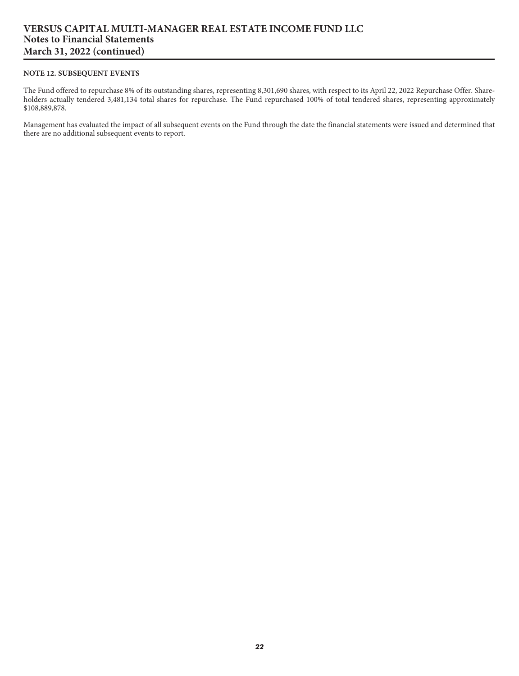# **NOTE 12. SUBSEQUENT EVENTS**

The Fund offered to repurchase 8% of its outstanding shares, representing 8,301,690 shares, with respect to its April 22, 2022 Repurchase Offer. Shareholders actually tendered 3,481,134 total shares for repurchase. The Fund repurchased 100% of total tendered shares, representing approximately \$108,889,878.

Management has evaluated the impact of all subsequent events on the Fund through the date the financial statements were issued and determined that there are no additional subsequent events to report.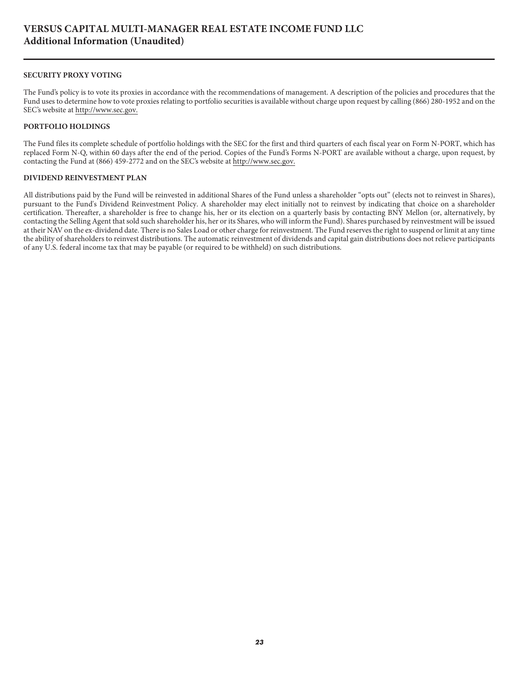#### <span id="page-23-0"></span>**SECURITY PROXY VOTING**

The Fund's policy is to vote its proxies in accordance with the recommendations of management. A description of the policies and procedures that the Fund uses to determine how to vote proxies relating to portfolio securities is available without charge upon request by calling (866) 280-1952 and on the SEC's website at<http://www.sec.gov.>

#### **PORTFOLIO HOLDINGS**

The Fund files its complete schedule of portfolio holdings with the SEC for the first and third quarters of each fiscal year on Form N-PORT, which has replaced Form N-Q, within 60 days after the end of the period. Copies of the Fund's Forms N-PORT are available without a charge, upon request, by contacting the Fund at (866) 459-2772 and on the SEC's website at http://www.sec.gov.

## **DIVIDEND REINVESTMENT PLAN**

All distributions paid by the Fund will be reinvested in additional Shares of the Fund unless a shareholder "opts out" (elects not to reinvest in Shares), pursuant to the Fund's Dividend Reinvestment Policy. A shareholder may elect initially not to reinvest by indicating that choice on a shareholder certification. Thereafter, a shareholder is free to change his, her or its election on a quarterly basis by contacting BNY Mellon (or, alternatively, by contacting the Selling Agent that sold such shareholder his, her or its Shares, who will inform the Fund). Shares purchased by reinvestment will be issued at their NAV on the ex-dividend date. There is no Sales Load or other charge for reinvestment. The Fund reserves the right to suspend or limit at any time the ability of shareholders to reinvest distributions. The automatic reinvestment of dividends and capital gain distributions does not relieve participants of any U.S. federal income tax that may be payable (or required to be withheld) on such distributions.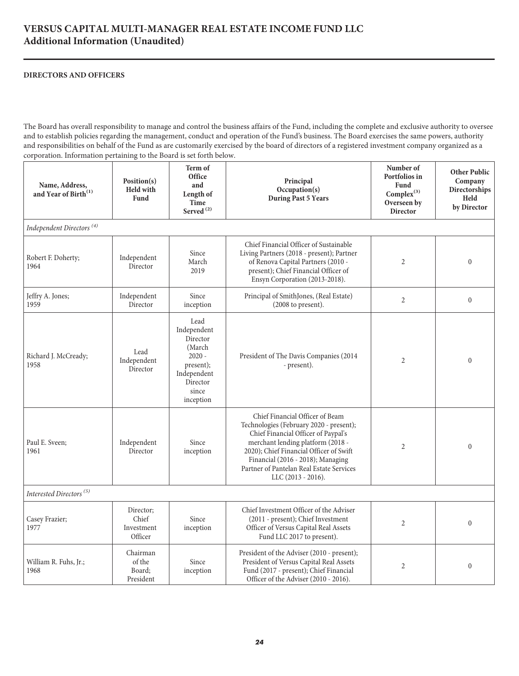## **DIRECTORS AND OFFICERS**

The Board has overall responsibility to manage and control the business affairs of the Fund, including the complete and exclusive authority to oversee and to establish policies regarding the management, conduct and operation of the Fund's business. The Board exercises the same powers, authority and responsibilities on behalf of the Fund as are customarily exercised by the board of directors of a registered investment company organized as a corporation. Information pertaining to the Board is set forth below.

| Name, Address,<br>and Year of Birth <sup>(1)</sup> | Position(s)<br><b>Held with</b><br>Fund     | Term of<br>Office<br>and<br>Length of<br><b>Time</b><br>Served <sup>(2)</sup>                                       | Principal<br>Occupation(s)<br><b>During Past 5 Years</b>                                                                                                                                                                                                                                                 | Number of<br>Portfolios in<br>Fund<br>Complex $^{(3)}$<br>Overseen by<br>Director | <b>Other Public</b><br>Company<br>Directorships<br>Held<br>by Director |
|----------------------------------------------------|---------------------------------------------|---------------------------------------------------------------------------------------------------------------------|----------------------------------------------------------------------------------------------------------------------------------------------------------------------------------------------------------------------------------------------------------------------------------------------------------|-----------------------------------------------------------------------------------|------------------------------------------------------------------------|
| Independent Directors <sup>(4)</sup>               |                                             |                                                                                                                     |                                                                                                                                                                                                                                                                                                          |                                                                                   |                                                                        |
| Robert F. Doherty;<br>1964                         | Independent<br>Director                     | Since<br>March<br>2019                                                                                              | Chief Financial Officer of Sustainable<br>Living Partners (2018 - present); Partner<br>of Renova Capital Partners (2010 -<br>present); Chief Financial Officer of<br>Ensyn Corporation (2013-2018).                                                                                                      | $\overline{2}$                                                                    | $\mathbf{0}$                                                           |
| Jeffry A. Jones;<br>1959                           | Independent<br>Director                     | Since<br>inception                                                                                                  | Principal of SmithJones, (Real Estate)<br>(2008 to present).                                                                                                                                                                                                                                             | $\overline{c}$                                                                    | $\mathbf{0}$                                                           |
| Richard J. McCready;<br>1958                       | Lead<br>Independent<br>Director             | Lead<br>Independent<br>Director<br>(March<br>$2020 -$<br>present);<br>Independent<br>Director<br>since<br>inception | President of The Davis Companies (2014<br>- present).                                                                                                                                                                                                                                                    | $\overline{2}$                                                                    | $\Omega$                                                               |
| Paul E. Sveen;<br>1961                             | Independent<br>Director                     | Since<br>inception                                                                                                  | Chief Financial Officer of Beam<br>Technologies (February 2020 - present);<br>Chief Financial Officer of Paypal's<br>merchant lending platform (2018 -<br>2020); Chief Financial Officer of Swift<br>Financial (2016 - 2018); Managing<br>Partner of Pantelan Real Estate Services<br>LLC (2013 - 2016). | 2                                                                                 | $\mathbf{0}$                                                           |
| Interested Directors <sup>(5)</sup>                |                                             |                                                                                                                     |                                                                                                                                                                                                                                                                                                          |                                                                                   |                                                                        |
| Casey Frazier;<br>1977                             | Director;<br>Chief<br>Investment<br>Officer | Since<br>inception                                                                                                  | Chief Investment Officer of the Adviser<br>(2011 - present); Chief Investment<br>Officer of Versus Capital Real Assets<br>Fund LLC 2017 to present).                                                                                                                                                     | $\overline{2}$                                                                    | $\mathbf{0}$                                                           |
| William R. Fuhs, Jr.;<br>1968                      | Chairman<br>of the<br>Board:<br>President   | Since<br>inception                                                                                                  | President of the Adviser (2010 - present);<br>President of Versus Capital Real Assets<br>Fund (2017 - present); Chief Financial<br>Officer of the Adviser (2010 - 2016).                                                                                                                                 | 2                                                                                 | $\mathbf{0}$                                                           |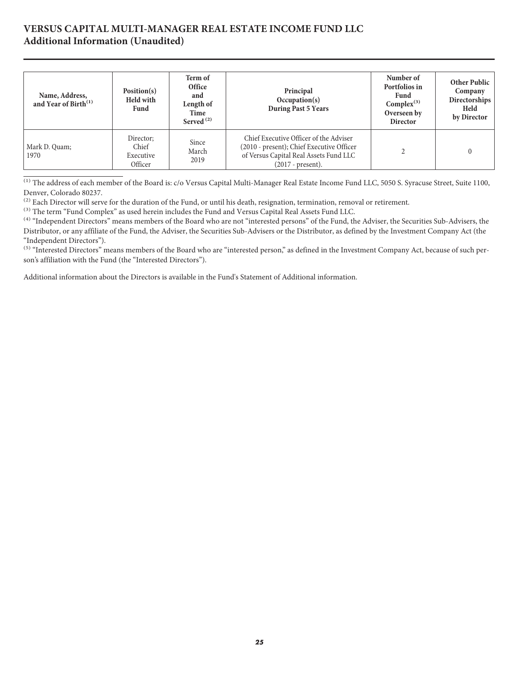# **VERSUS CAPITAL MULTI-MANAGER REAL ESTATE INCOME FUND LLC Additional Information (Unaudited)**

| Name, Address,<br>and Year of Birth $^{(1)}$ | Position(s)<br><b>Held with</b><br>Fund    | Term of<br>Office<br>and<br>Length of<br>Time<br>Served $(2)$ | Principal<br>Occupation(s)<br><b>During Past 5 Years</b>                                                                                             | Number of<br>Portfolios in<br><b>Fund</b><br>Complex $^{(3)}$<br>Overseen by<br><b>Director</b> | <b>Other Public</b><br>Company<br><b>Directorships</b><br>Held<br>by Director |
|----------------------------------------------|--------------------------------------------|---------------------------------------------------------------|------------------------------------------------------------------------------------------------------------------------------------------------------|-------------------------------------------------------------------------------------------------|-------------------------------------------------------------------------------|
| Mark D. Quam;<br>1970                        | Director;<br>Chief<br>Executive<br>Officer | Since<br>March<br>2019                                        | Chief Executive Officer of the Adviser<br>(2010 - present); Chief Executive Officer<br>of Versus Capital Real Assets Fund LLC<br>$(2017 - present).$ |                                                                                                 |                                                                               |

<sup>(1)</sup> The address of each member of the Board is: c/o Versus Capital Multi-Manager Real Estate Income Fund LLC, 5050 S. Syracuse Street, Suite 1100, Denver, Colorado 80237.

 $<sup>(2)</sup>$  Each Director will serve for the duration of the Fund, or until his death, resignation, termination, removal or retirement.</sup>

(3) The term "Fund Complex" as used herein includes the Fund and Versus Capital Real Assets Fund LLC.

<sup>(4)</sup> "Independent Directors" means members of the Board who are not "interested persons" of the Fund, the Adviser, the Securities Sub-Advisers, the Distributor, or any affiliate of the Fund, the Adviser, the Securities Sub-Advisers or the Distributor, as defined by the Investment Company Act (the "Independent Directors").

<sup>(5)</sup> "Interested Directors" means members of the Board who are "interested person," as defined in the Investment Company Act, because of such person's affiliation with the Fund (the "Interested Directors").

Additional information about the Directors is available in the Fund's Statement of Additional information.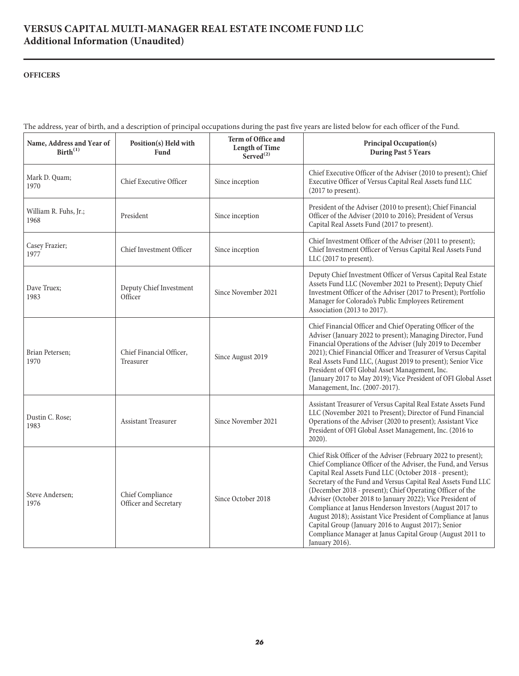# **OFFICERS**

| Name, Address and Year of<br>$Birth^{(1)}$                           | Position(s) Held with<br>Fund         | Term of Office and<br>Length of Time<br>Served $^{(2)}$ | <b>Principal Occupation(s)</b><br><b>During Past 5 Years</b>                                                                                                                                                                                                                                                                                                                                                                                                                                                                                                                                                                                          |
|----------------------------------------------------------------------|---------------------------------------|---------------------------------------------------------|-------------------------------------------------------------------------------------------------------------------------------------------------------------------------------------------------------------------------------------------------------------------------------------------------------------------------------------------------------------------------------------------------------------------------------------------------------------------------------------------------------------------------------------------------------------------------------------------------------------------------------------------------------|
| Mark D. Quam;<br>1970                                                | Chief Executive Officer               | Since inception                                         | Chief Executive Officer of the Adviser (2010 to present); Chief<br>Executive Officer of Versus Capital Real Assets fund LLC<br>(2017 to present).                                                                                                                                                                                                                                                                                                                                                                                                                                                                                                     |
| William R. Fuhs, Jr.;<br>1968                                        | President                             | Since inception                                         | President of the Adviser (2010 to present); Chief Financial<br>Officer of the Adviser (2010 to 2016); President of Versus<br>Capital Real Assets Fund (2017 to present).                                                                                                                                                                                                                                                                                                                                                                                                                                                                              |
| Casey Frazier;<br>1977                                               | Chief Investment Officer              | Since inception                                         | Chief Investment Officer of the Adviser (2011 to present);<br>Chief Investment Officer of Versus Capital Real Assets Fund<br>LLC (2017 to present).                                                                                                                                                                                                                                                                                                                                                                                                                                                                                                   |
| Dave Truex:<br>1983                                                  | Deputy Chief Investment<br>Officer    | Since November 2021                                     | Deputy Chief Investment Officer of Versus Capital Real Estate<br>Assets Fund LLC (November 2021 to Present); Deputy Chief<br>Investment Officer of the Adviser (2017 to Present); Portfolio<br>Manager for Colorado's Public Employees Retirement<br>Association (2013 to 2017).                                                                                                                                                                                                                                                                                                                                                                      |
| Brian Petersen;<br>1970                                              | Chief Financial Officer,<br>Treasurer | Since August 2019                                       | Chief Financial Officer and Chief Operating Officer of the<br>Adviser (January 2022 to present); Managing Director, Fund<br>Financial Operations of the Adviser (July 2019 to December<br>2021); Chief Financial Officer and Treasurer of Versus Capital<br>Real Assets Fund LLC, (August 2019 to present); Senior Vice<br>President of OFI Global Asset Management, Inc.<br>(January 2017 to May 2019); Vice President of OFI Global Asset<br>Management, Inc. (2007-2017).                                                                                                                                                                          |
| Dustin C. Rose;<br>1983                                              | Assistant Treasurer                   | Since November 2021                                     | Assistant Treasurer of Versus Capital Real Estate Assets Fund<br>LLC (November 2021 to Present); Director of Fund Financial<br>Operations of the Adviser (2020 to present); Assistant Vice<br>President of OFI Global Asset Management, Inc. (2016 to<br>$2020$ ).                                                                                                                                                                                                                                                                                                                                                                                    |
| Steve Andersen;<br>Chief Compliance<br>Officer and Secretary<br>1976 |                                       | Since October 2018                                      | Chief Risk Officer of the Adviser (February 2022 to present);<br>Chief Compliance Officer of the Adviser, the Fund, and Versus<br>Capital Real Assets Fund LLC (October 2018 - present);<br>Secretary of the Fund and Versus Capital Real Assets Fund LLC<br>(December 2018 - present); Chief Operating Officer of the<br>Adviser (October 2018 to January 2022); Vice President of<br>Compliance at Janus Henderson Investors (August 2017 to<br>August 2018); Assistant Vice President of Compliance at Janus<br>Capital Group (January 2016 to August 2017); Senior<br>Compliance Manager at Janus Capital Group (August 2011 to<br>January 2016). |

The address, year of birth, and a description of principal occupations during the past five years are listed below for each officer of the Fund.